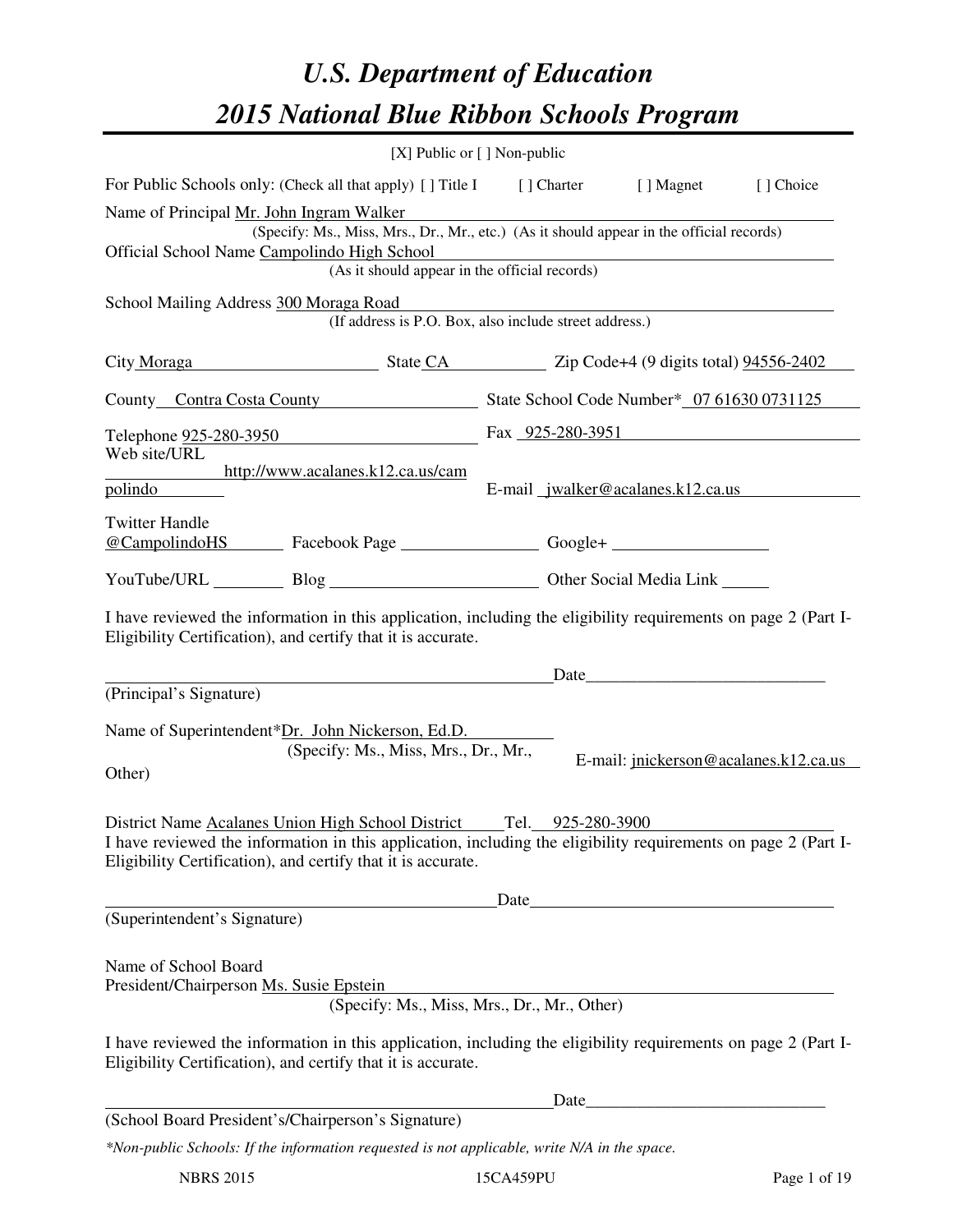# *U.S. Department of Education 2015 National Blue Ribbon Schools Program*

|                                                                                                                                                                                                                                                       | [X] Public or [] Non-public                            |      |                                   |                                       |  |
|-------------------------------------------------------------------------------------------------------------------------------------------------------------------------------------------------------------------------------------------------------|--------------------------------------------------------|------|-----------------------------------|---------------------------------------|--|
| For Public Schools only: (Check all that apply) [] Title I [] Charter [] Magnet                                                                                                                                                                       |                                                        |      |                                   | [] Choice                             |  |
| Name of Principal Mr. John Ingram Walker<br>(Specify: Ms., Miss, Mrs., Dr., Mr., etc.) (As it should appear in the official records)                                                                                                                  |                                                        |      |                                   |                                       |  |
| Official School Name Campolindo High School<br>(As it should appear in the official records)                                                                                                                                                          |                                                        |      |                                   |                                       |  |
| School Mailing Address 300 Moraga Road                                                                                                                                                                                                                |                                                        |      |                                   |                                       |  |
|                                                                                                                                                                                                                                                       | (If address is P.O. Box, also include street address.) |      |                                   |                                       |  |
| City Moraga State CA Zip Code+4 (9 digits total) 94556-2402                                                                                                                                                                                           |                                                        |      |                                   |                                       |  |
| County Contra Costa County State School Code Number* 07 61630 0731125                                                                                                                                                                                 |                                                        |      |                                   |                                       |  |
| Telephone <u>925-280-3950</u> Fax 925-280-3951                                                                                                                                                                                                        |                                                        |      |                                   |                                       |  |
| Web site/URL<br>http://www.acalanes.k12.ca.us/cam                                                                                                                                                                                                     |                                                        |      |                                   |                                       |  |
| polindo                                                                                                                                                                                                                                               |                                                        |      | E-mail jwalker@acalanes.k12.ca.us |                                       |  |
| <b>Twitter Handle</b><br>@CampolindoHS Facebook Page Google+                                                                                                                                                                                          |                                                        |      |                                   |                                       |  |
| YouTube/URL Blog Blog Cher Social Media Link                                                                                                                                                                                                          |                                                        |      |                                   |                                       |  |
| I have reviewed the information in this application, including the eligibility requirements on page 2 (Part I-<br>Eligibility Certification), and certify that it is accurate.                                                                        |                                                        |      |                                   |                                       |  |
| (Principal's Signature)                                                                                                                                                                                                                               |                                                        |      |                                   |                                       |  |
| Name of Superintendent*Dr. John Nickerson, Ed.D.<br>(Specify: Ms., Miss, Mrs., Dr., Mr.,<br>Other)                                                                                                                                                    |                                                        |      |                                   | E-mail: jnickerson@acalanes.k12.ca.us |  |
| District Name Acalanes Union High School District Tel. 925-280-3900<br>I have reviewed the information in this application, including the eligibility requirements on page 2 (Part I-<br>Eligibility Certification), and certify that it is accurate. |                                                        |      | Date                              |                                       |  |
| (Superintendent's Signature)                                                                                                                                                                                                                          |                                                        |      |                                   |                                       |  |
| Name of School Board<br>President/Chairperson Ms. Susie Epstein<br>I have reviewed the information in this application, including the eligibility requirements on page 2 (Part I-<br>Eligibility Certification), and certify that it is accurate.     | (Specify: Ms., Miss, Mrs., Dr., Mr., Other)            |      |                                   |                                       |  |
|                                                                                                                                                                                                                                                       |                                                        | Date |                                   |                                       |  |
| (School Board President's/Chairperson's Signature)                                                                                                                                                                                                    |                                                        |      |                                   |                                       |  |
| *Non-public Schools: If the information requested is not applicable, write N/A in the space.                                                                                                                                                          |                                                        |      |                                   |                                       |  |

NBRS 2015 15CA459PU Page 1 of 19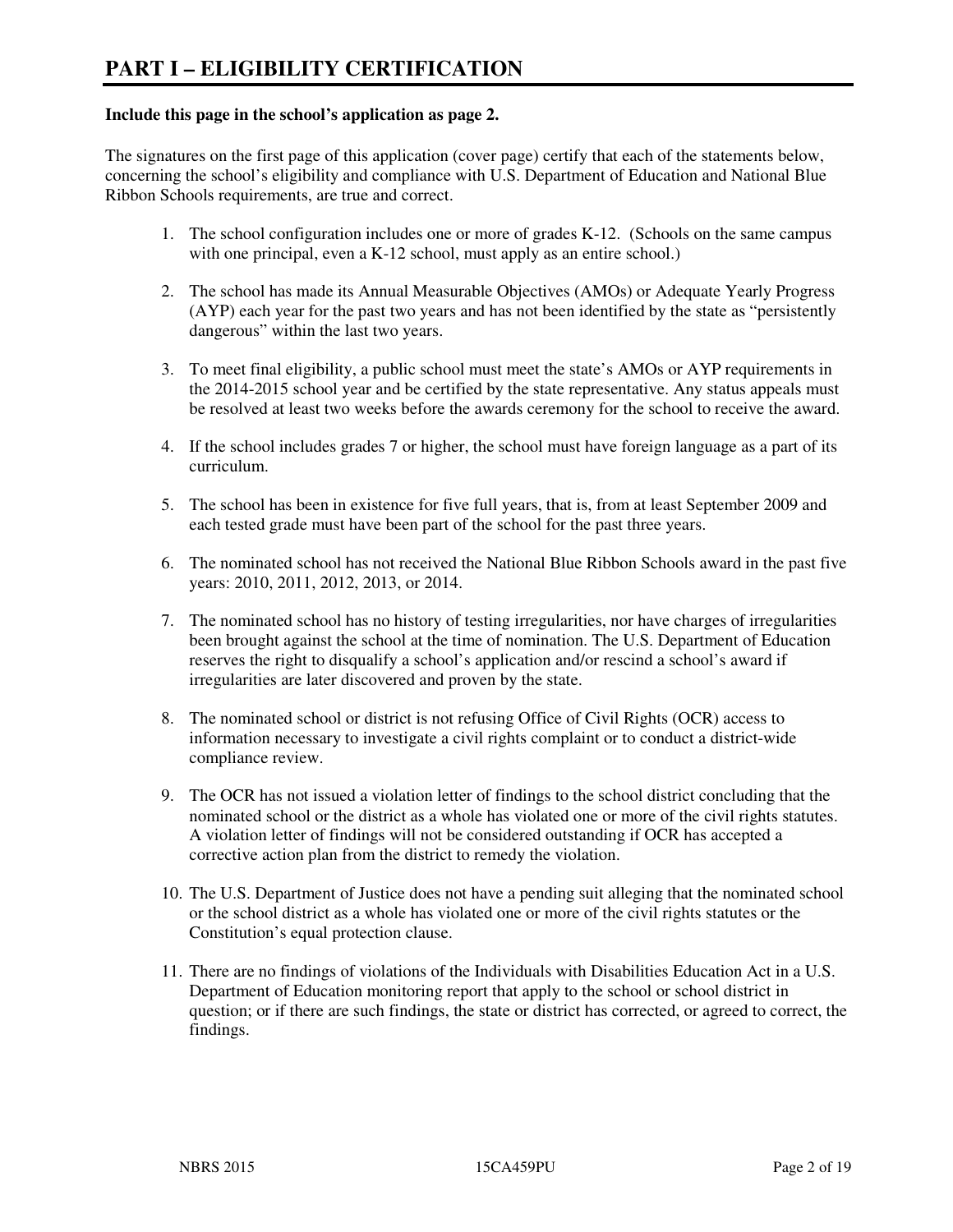#### **Include this page in the school's application as page 2.**

The signatures on the first page of this application (cover page) certify that each of the statements below, concerning the school's eligibility and compliance with U.S. Department of Education and National Blue Ribbon Schools requirements, are true and correct.

- 1. The school configuration includes one or more of grades K-12. (Schools on the same campus with one principal, even a K-12 school, must apply as an entire school.)
- 2. The school has made its Annual Measurable Objectives (AMOs) or Adequate Yearly Progress (AYP) each year for the past two years and has not been identified by the state as "persistently dangerous" within the last two years.
- 3. To meet final eligibility, a public school must meet the state's AMOs or AYP requirements in the 2014-2015 school year and be certified by the state representative. Any status appeals must be resolved at least two weeks before the awards ceremony for the school to receive the award.
- 4. If the school includes grades 7 or higher, the school must have foreign language as a part of its curriculum.
- 5. The school has been in existence for five full years, that is, from at least September 2009 and each tested grade must have been part of the school for the past three years.
- 6. The nominated school has not received the National Blue Ribbon Schools award in the past five years: 2010, 2011, 2012, 2013, or 2014.
- 7. The nominated school has no history of testing irregularities, nor have charges of irregularities been brought against the school at the time of nomination. The U.S. Department of Education reserves the right to disqualify a school's application and/or rescind a school's award if irregularities are later discovered and proven by the state.
- 8. The nominated school or district is not refusing Office of Civil Rights (OCR) access to information necessary to investigate a civil rights complaint or to conduct a district-wide compliance review.
- 9. The OCR has not issued a violation letter of findings to the school district concluding that the nominated school or the district as a whole has violated one or more of the civil rights statutes. A violation letter of findings will not be considered outstanding if OCR has accepted a corrective action plan from the district to remedy the violation.
- 10. The U.S. Department of Justice does not have a pending suit alleging that the nominated school or the school district as a whole has violated one or more of the civil rights statutes or the Constitution's equal protection clause.
- 11. There are no findings of violations of the Individuals with Disabilities Education Act in a U.S. Department of Education monitoring report that apply to the school or school district in question; or if there are such findings, the state or district has corrected, or agreed to correct, the findings.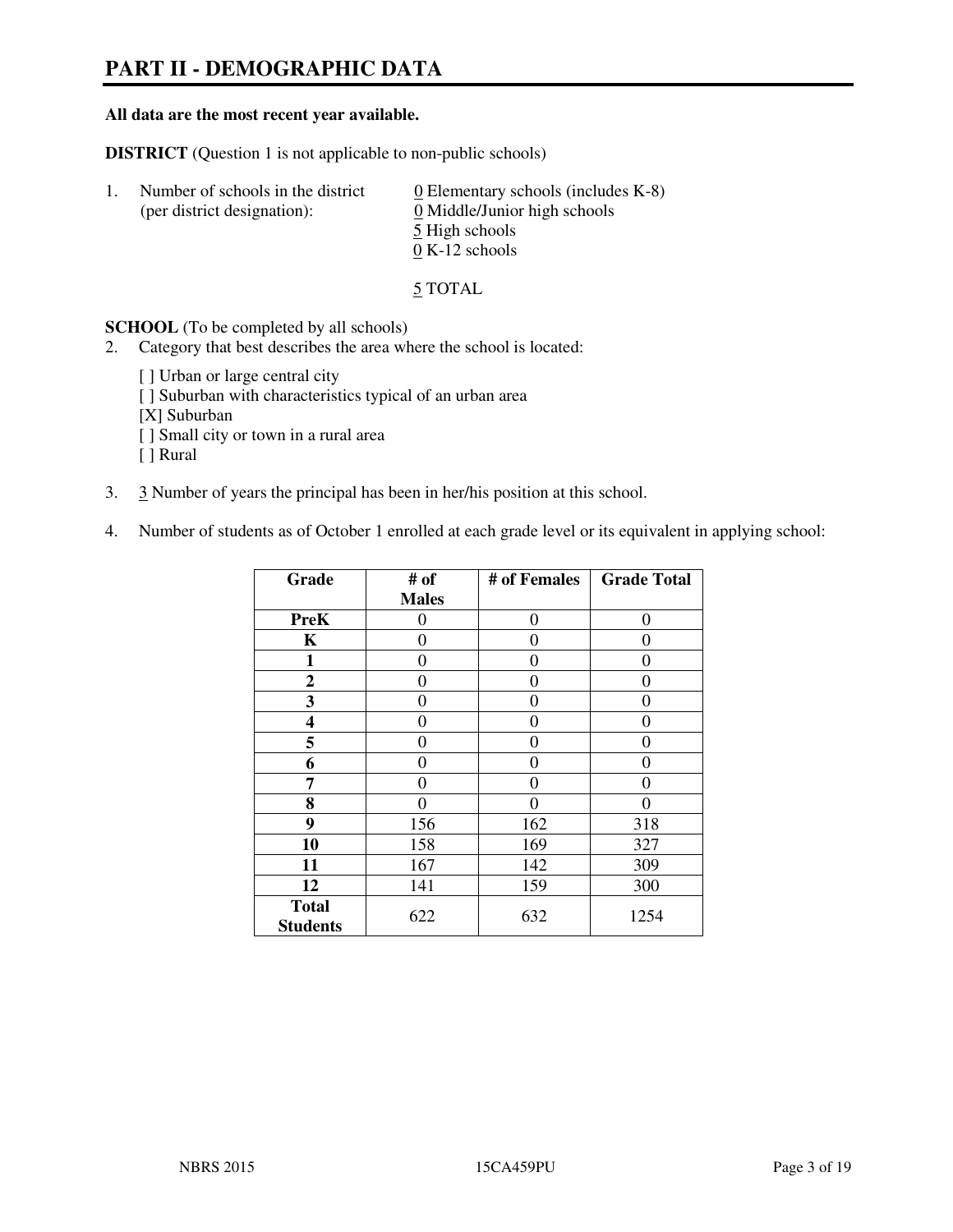# **PART II - DEMOGRAPHIC DATA**

#### **All data are the most recent year available.**

**DISTRICT** (Question 1 is not applicable to non-public schools)

| -1. | Number of schools in the district<br>(per district designation): | $\underline{0}$ Elementary schools (includes K-8)<br>0 Middle/Junior high schools<br>5 High schools |
|-----|------------------------------------------------------------------|-----------------------------------------------------------------------------------------------------|
|     |                                                                  | $0 K-12$ schools                                                                                    |

5 TOTAL

**SCHOOL** (To be completed by all schools)

- 2. Category that best describes the area where the school is located:
	- [] Urban or large central city
	- [ ] Suburban with characteristics typical of an urban area
	- [X] Suburban
	- [ ] Small city or town in a rural area
	- [ ] Rural
- 3. 3 Number of years the principal has been in her/his position at this school.
- 4. Number of students as of October 1 enrolled at each grade level or its equivalent in applying school:

| Grade                           | # of         | # of Females | <b>Grade Total</b> |
|---------------------------------|--------------|--------------|--------------------|
|                                 | <b>Males</b> |              |                    |
| <b>PreK</b>                     | 0            | $\theta$     | $\theta$           |
| K                               | 0            | $\theta$     | $\theta$           |
| 1                               | 0            | 0            | $\theta$           |
| $\mathbf{2}$                    | 0            | 0            | 0                  |
| 3                               | 0            | 0            | 0                  |
| 4                               | 0            | 0            | 0                  |
| 5                               | 0            | 0            | $\theta$           |
| 6                               | 0            | $\Omega$     | $\theta$           |
| 7                               | 0            | $\Omega$     | 0                  |
| 8                               | 0            | 0            | 0                  |
| 9                               | 156          | 162          | 318                |
| 10                              | 158          | 169          | 327                |
| 11                              | 167          | 142          | 309                |
| 12                              | 141          | 159          | 300                |
| <b>Total</b><br><b>Students</b> | 622          | 632          | 1254               |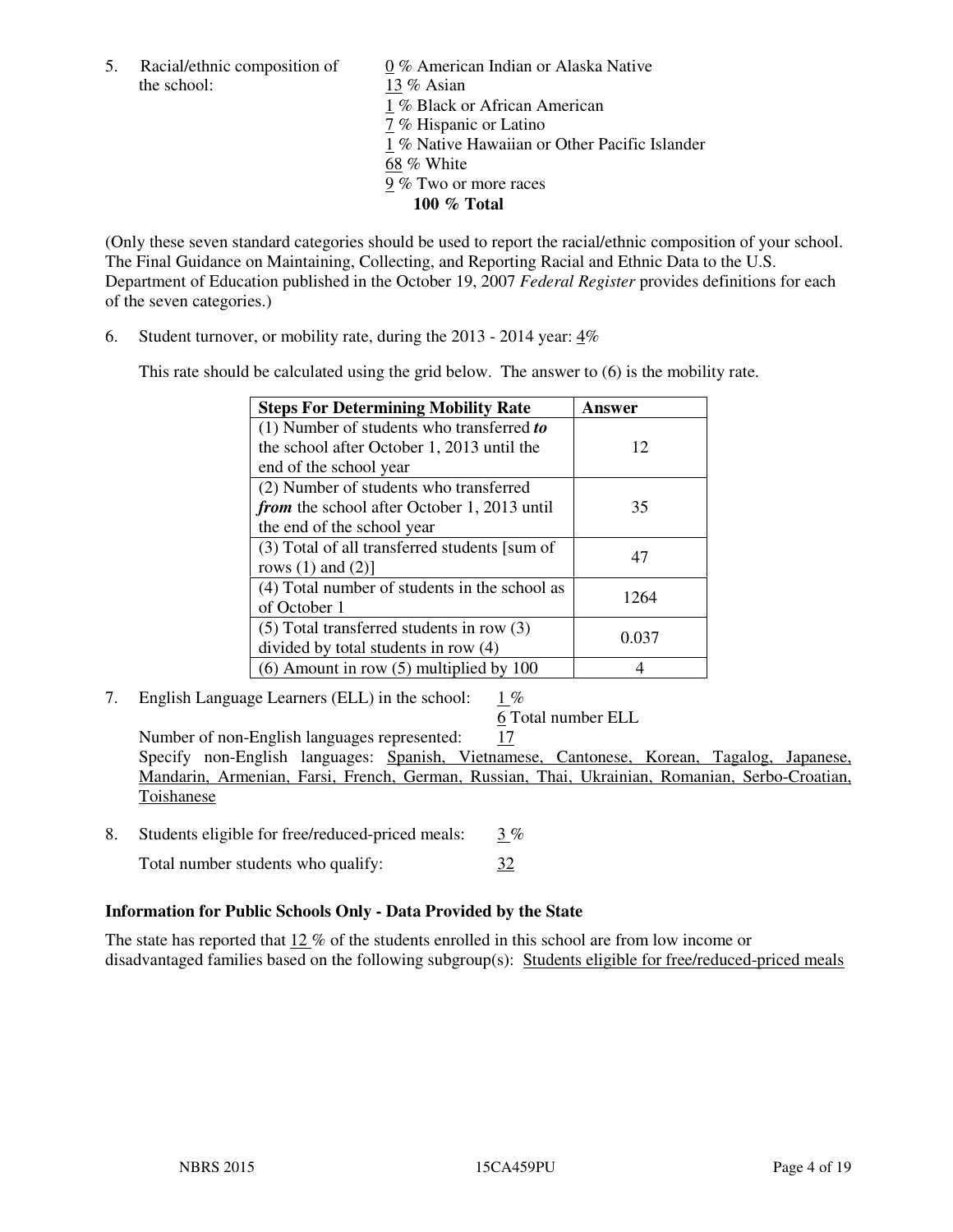5. Racial/ethnic composition of  $\frac{0}{13}$  % American Indian or Alaska Native the school:  $\frac{13}{8}$  Asian 13 % Asian 1 % Black or African American 7 % Hispanic or Latino 1 % Native Hawaiian or Other Pacific Islander 68 % White 9 % Two or more races **100 % Total** 

(Only these seven standard categories should be used to report the racial/ethnic composition of your school. The Final Guidance on Maintaining, Collecting, and Reporting Racial and Ethnic Data to the U.S. Department of Education published in the October 19, 2007 *Federal Register* provides definitions for each of the seven categories.)

6. Student turnover, or mobility rate, during the 2013 - 2014 year: 4%

This rate should be calculated using the grid below. The answer to (6) is the mobility rate.

| <b>Steps For Determining Mobility Rate</b>         | Answer |  |
|----------------------------------------------------|--------|--|
| $(1)$ Number of students who transferred to        |        |  |
| the school after October 1, 2013 until the         | 12     |  |
| end of the school year                             |        |  |
| (2) Number of students who transferred             |        |  |
| <i>from</i> the school after October 1, 2013 until | 35     |  |
| the end of the school year                         |        |  |
| (3) Total of all transferred students [sum of      | 47     |  |
| rows $(1)$ and $(2)$ ]                             |        |  |
| (4) Total number of students in the school as      | 1264   |  |
| of October 1                                       |        |  |
| $(5)$ Total transferred students in row $(3)$      |        |  |
| divided by total students in row (4)               | 0.037  |  |
| $(6)$ Amount in row $(5)$ multiplied by 100        |        |  |

7. English Language Learners (ELL) in the school: 1 %

6 Total number ELL

Number of non-English languages represented: 17 Specify non-English languages: Spanish, Vietnamese, Cantonese, Korean, Tagalog, Japanese, Mandarin, Armenian, Farsi, French, German, Russian, Thai, Ukrainian, Romanian, Serbo-Croatian, Toishanese

8. Students eligible for free/reduced-priced meals:  $3\%$ 

Total number students who qualify:  $\frac{32}{2}$ 

# **Information for Public Schools Only - Data Provided by the State**

The state has reported that  $12\%$  of the students enrolled in this school are from low income or disadvantaged families based on the following subgroup(s): Students eligible for free/reduced-priced meals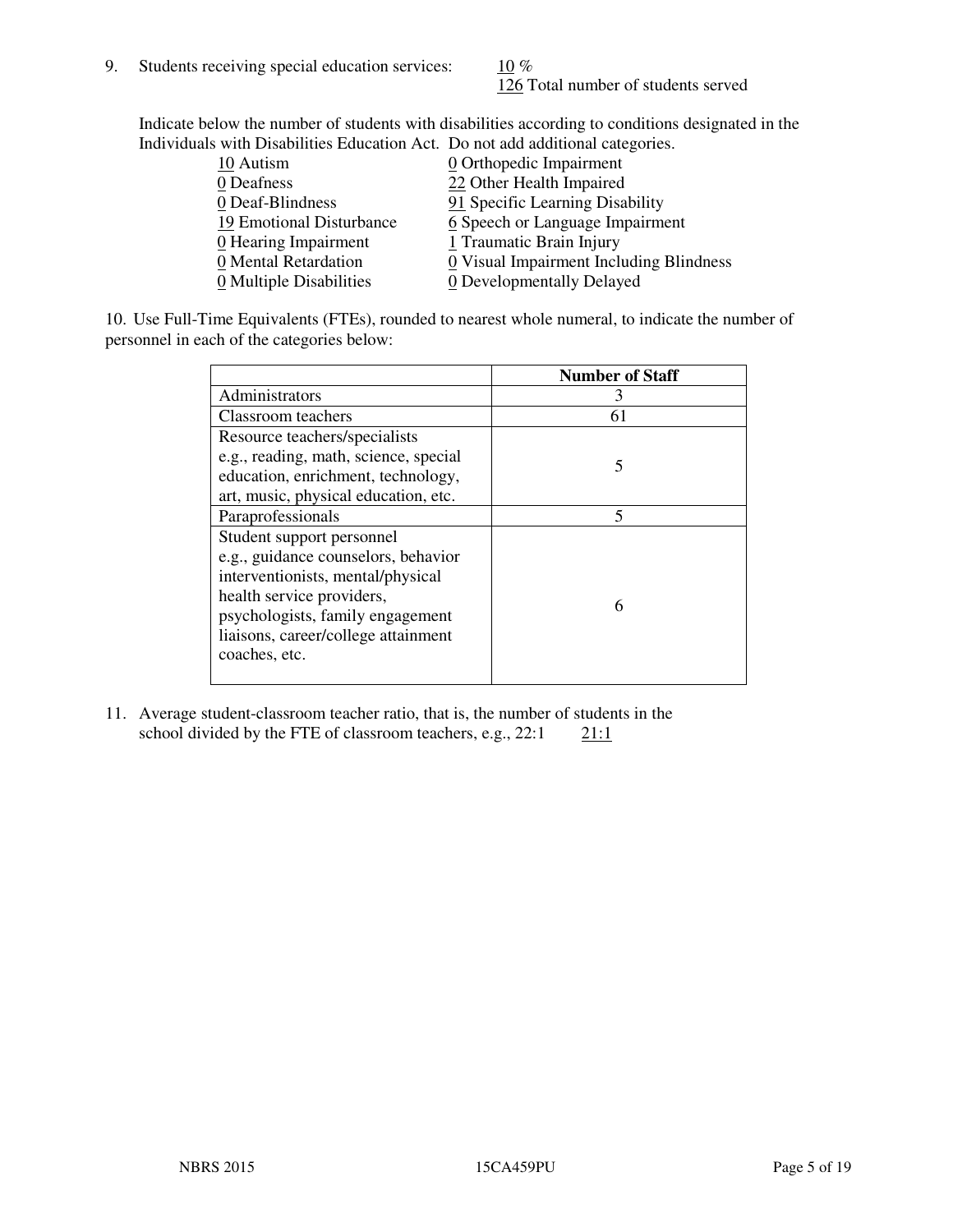126 Total number of students served

Indicate below the number of students with disabilities according to conditions designated in the Individuals with Disabilities Education Act. Do not add additional categories.

| <u>marritano with Disachitity Buatanon ritti Do not auu auunchai talegorito.</u> |                                         |
|----------------------------------------------------------------------------------|-----------------------------------------|
| 10 Autism                                                                        | $\underline{0}$ Orthopedic Impairment   |
| 0 Deafness                                                                       | 22 Other Health Impaired                |
| 0 Deaf-Blindness                                                                 | 91 Specific Learning Disability         |
| 19 Emotional Disturbance                                                         | 6 Speech or Language Impairment         |
| 0 Hearing Impairment                                                             | 1 Traumatic Brain Injury                |
| 0 Mental Retardation                                                             | 0 Visual Impairment Including Blindness |
| 0 Multiple Disabilities                                                          | 0 Developmentally Delayed               |
|                                                                                  |                                         |

10. Use Full-Time Equivalents (FTEs), rounded to nearest whole numeral, to indicate the number of personnel in each of the categories below:

|                                       | <b>Number of Staff</b> |
|---------------------------------------|------------------------|
| Administrators                        |                        |
| Classroom teachers                    | 61                     |
| Resource teachers/specialists         |                        |
| e.g., reading, math, science, special | 5                      |
| education, enrichment, technology,    |                        |
| art, music, physical education, etc.  |                        |
| Paraprofessionals                     | 5                      |
| Student support personnel             |                        |
| e.g., guidance counselors, behavior   |                        |
| interventionists, mental/physical     |                        |
| health service providers,             | 6                      |
| psychologists, family engagement      |                        |
| liaisons, career/college attainment   |                        |
| coaches, etc.                         |                        |
|                                       |                        |

11. Average student-classroom teacher ratio, that is, the number of students in the school divided by the FTE of classroom teachers, e.g.,  $22:1$  21:1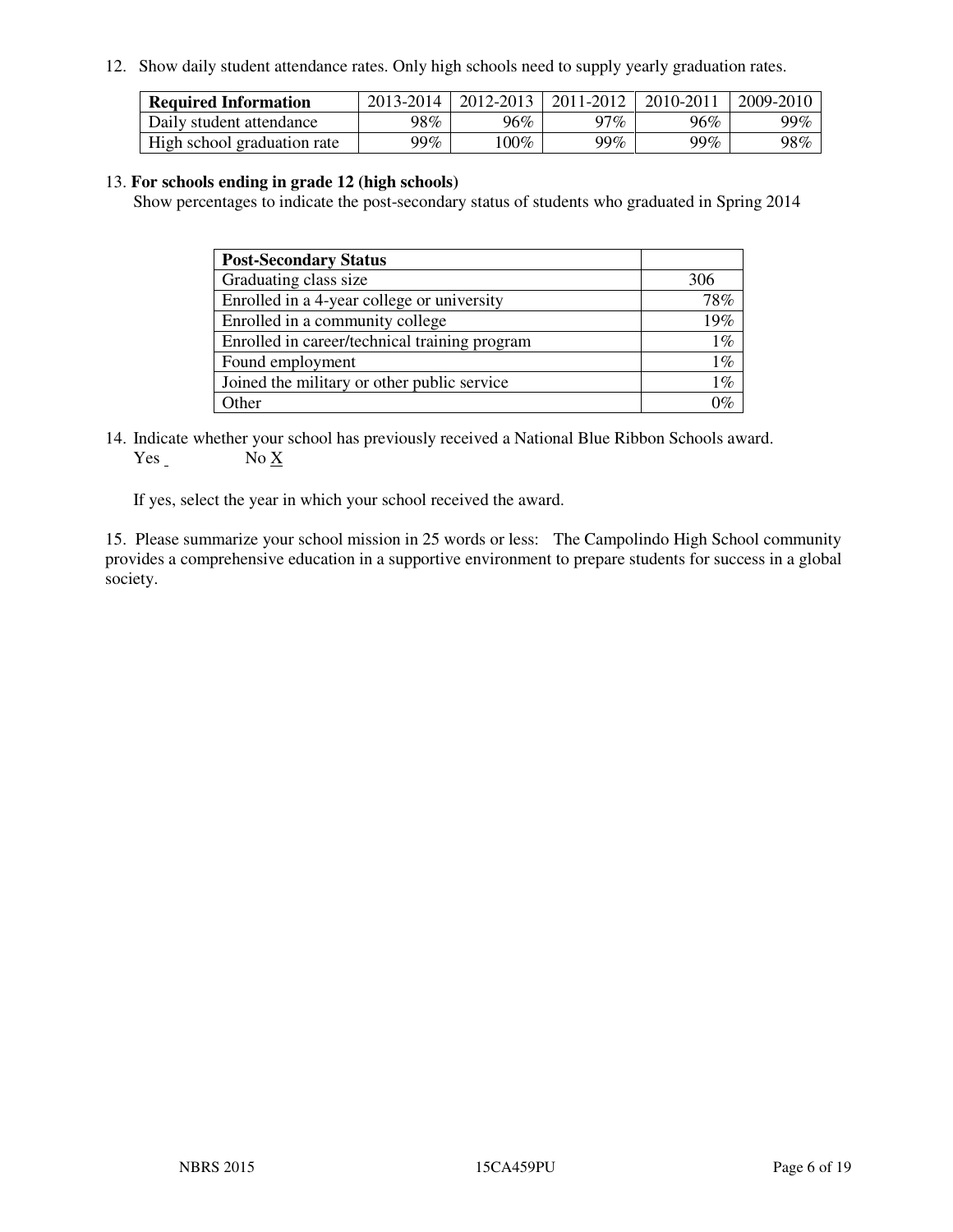12. Show daily student attendance rates. Only high schools need to supply yearly graduation rates.

| <b>Required Information</b> | 2013-2014 | 2012-2013 | 2011-2012 | 2010-2011 | 2009-2010 |
|-----------------------------|-----------|-----------|-----------|-----------|-----------|
| Daily student attendance    | 98%       | 96%       | າ7 $\%$   | 96%       | 99%       |
| High school graduation rate | 99%       | $00\%$    | 99%       | $99\%$    | 98%       |

#### 13. **For schools ending in grade 12 (high schools)**

Show percentages to indicate the post-secondary status of students who graduated in Spring 2014

| <b>Post-Secondary Status</b>                  |       |
|-----------------------------------------------|-------|
| Graduating class size                         | 306   |
| Enrolled in a 4-year college or university    | 78%   |
| Enrolled in a community college               | 19%   |
| Enrolled in career/technical training program | $1\%$ |
| Found employment                              | $1\%$ |
| Joined the military or other public service   | $1\%$ |
| Other                                         |       |

14. Indicate whether your school has previously received a National Blue Ribbon Schools award. Yes No X

If yes, select the year in which your school received the award.

15. Please summarize your school mission in 25 words or less: The Campolindo High School community provides a comprehensive education in a supportive environment to prepare students for success in a global society.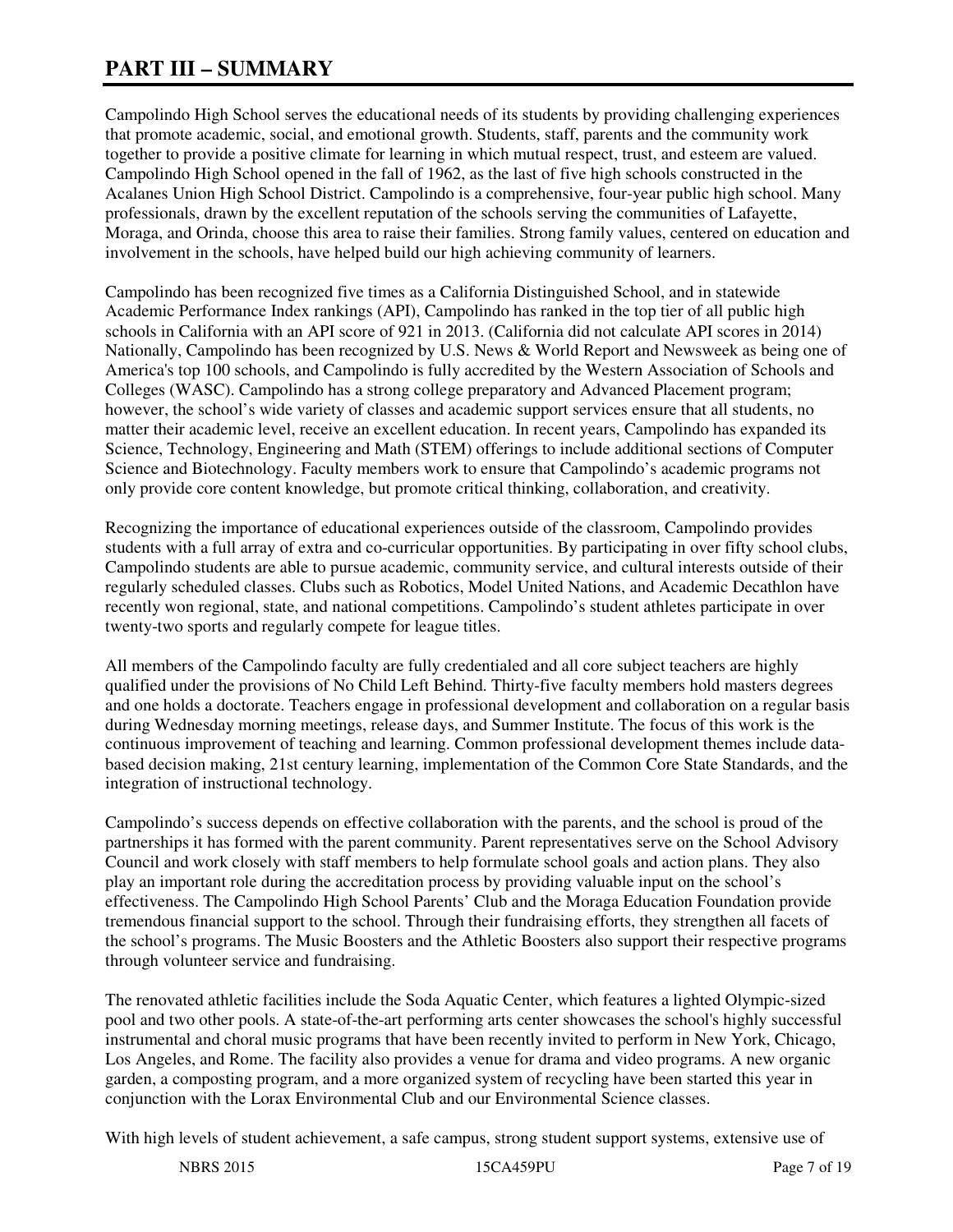# **PART III – SUMMARY**

Campolindo High School serves the educational needs of its students by providing challenging experiences that promote academic, social, and emotional growth. Students, staff, parents and the community work together to provide a positive climate for learning in which mutual respect, trust, and esteem are valued. Campolindo High School opened in the fall of 1962, as the last of five high schools constructed in the Acalanes Union High School District. Campolindo is a comprehensive, four-year public high school. Many professionals, drawn by the excellent reputation of the schools serving the communities of Lafayette, Moraga, and Orinda, choose this area to raise their families. Strong family values, centered on education and involvement in the schools, have helped build our high achieving community of learners.

Campolindo has been recognized five times as a California Distinguished School, and in statewide Academic Performance Index rankings (API), Campolindo has ranked in the top tier of all public high schools in California with an API score of 921 in 2013. (California did not calculate API scores in 2014) Nationally, Campolindo has been recognized by U.S. News & World Report and Newsweek as being one of America's top 100 schools, and Campolindo is fully accredited by the Western Association of Schools and Colleges (WASC). Campolindo has a strong college preparatory and Advanced Placement program; however, the school's wide variety of classes and academic support services ensure that all students, no matter their academic level, receive an excellent education. In recent years, Campolindo has expanded its Science, Technology, Engineering and Math (STEM) offerings to include additional sections of Computer Science and Biotechnology. Faculty members work to ensure that Campolindo's academic programs not only provide core content knowledge, but promote critical thinking, collaboration, and creativity.

Recognizing the importance of educational experiences outside of the classroom, Campolindo provides students with a full array of extra and co-curricular opportunities. By participating in over fifty school clubs, Campolindo students are able to pursue academic, community service, and cultural interests outside of their regularly scheduled classes. Clubs such as Robotics, Model United Nations, and Academic Decathlon have recently won regional, state, and national competitions. Campolindo's student athletes participate in over twenty-two sports and regularly compete for league titles.

All members of the Campolindo faculty are fully credentialed and all core subject teachers are highly qualified under the provisions of No Child Left Behind. Thirty-five faculty members hold masters degrees and one holds a doctorate. Teachers engage in professional development and collaboration on a regular basis during Wednesday morning meetings, release days, and Summer Institute. The focus of this work is the continuous improvement of teaching and learning. Common professional development themes include databased decision making, 21st century learning, implementation of the Common Core State Standards, and the integration of instructional technology.

Campolindo's success depends on effective collaboration with the parents, and the school is proud of the partnerships it has formed with the parent community. Parent representatives serve on the School Advisory Council and work closely with staff members to help formulate school goals and action plans. They also play an important role during the accreditation process by providing valuable input on the school's effectiveness. The Campolindo High School Parents' Club and the Moraga Education Foundation provide tremendous financial support to the school. Through their fundraising efforts, they strengthen all facets of the school's programs. The Music Boosters and the Athletic Boosters also support their respective programs through volunteer service and fundraising.

The renovated athletic facilities include the Soda Aquatic Center, which features a lighted Olympic-sized pool and two other pools. A state-of-the-art performing arts center showcases the school's highly successful instrumental and choral music programs that have been recently invited to perform in New York, Chicago, Los Angeles, and Rome. The facility also provides a venue for drama and video programs. A new organic garden, a composting program, and a more organized system of recycling have been started this year in conjunction with the Lorax Environmental Club and our Environmental Science classes.

With high levels of student achievement, a safe campus, strong student support systems, extensive use of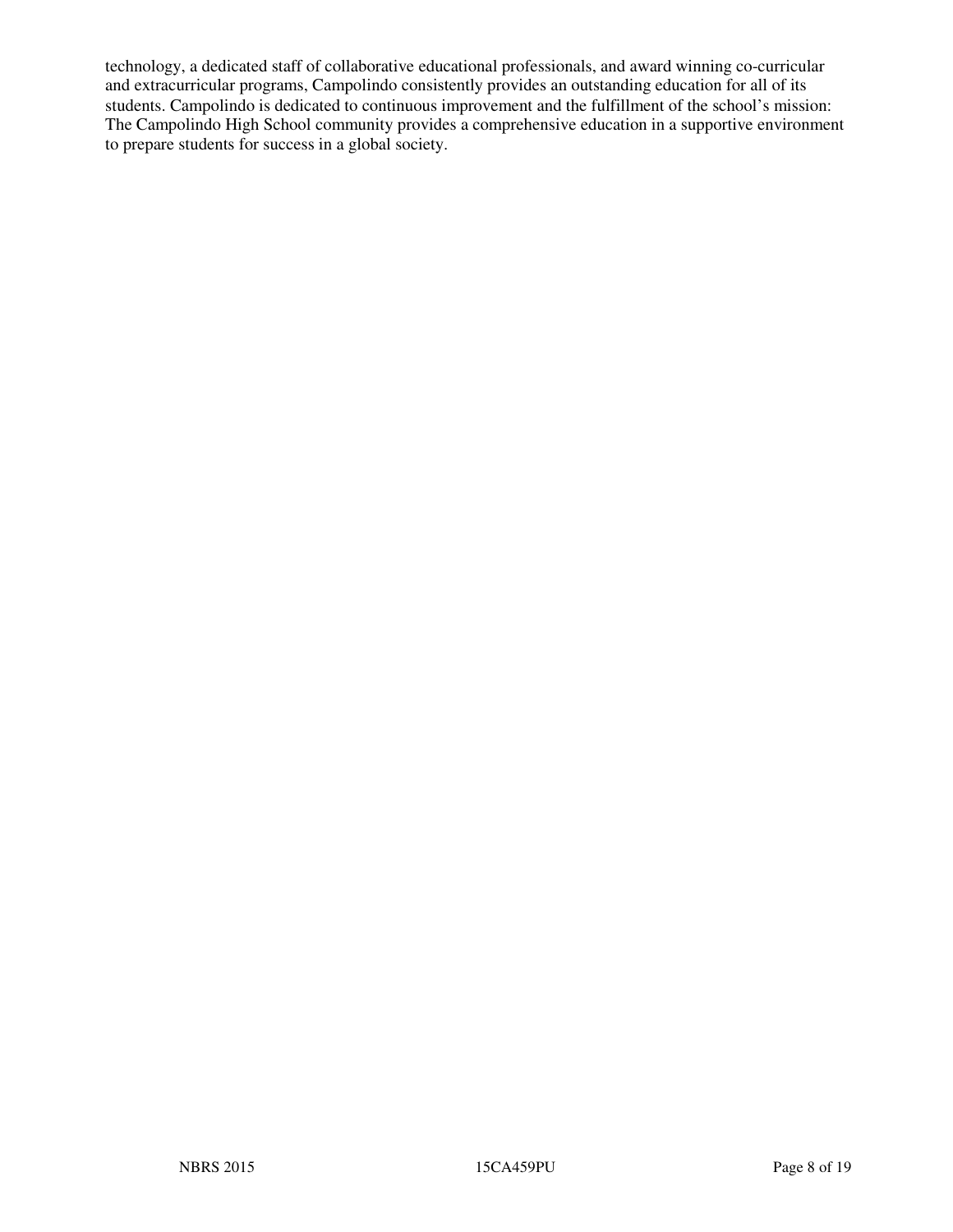technology, a dedicated staff of collaborative educational professionals, and award winning co-curricular and extracurricular programs, Campolindo consistently provides an outstanding education for all of its students. Campolindo is dedicated to continuous improvement and the fulfillment of the school's mission: The Campolindo High School community provides a comprehensive education in a supportive environment to prepare students for success in a global society.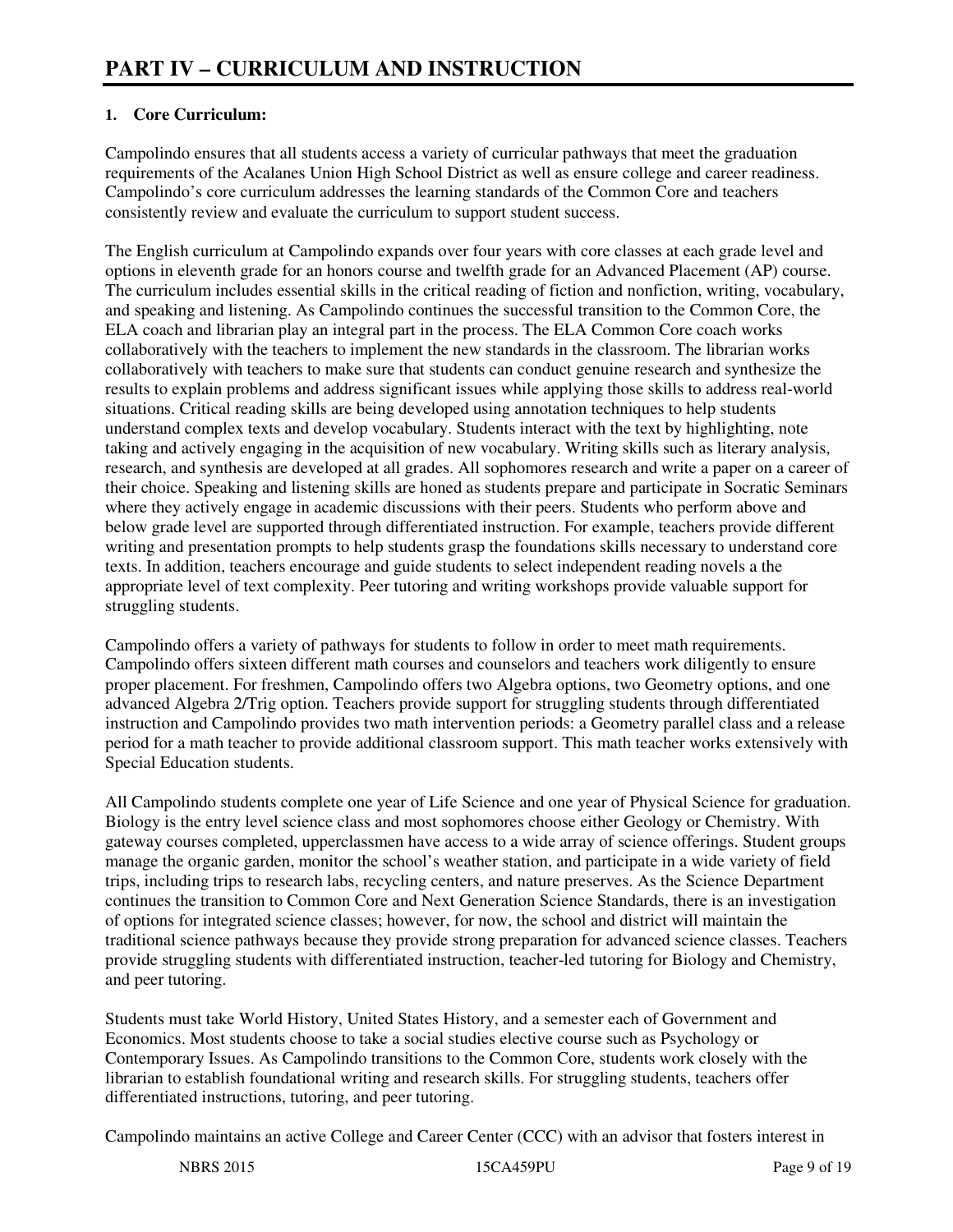# **1. Core Curriculum:**

Campolindo ensures that all students access a variety of curricular pathways that meet the graduation requirements of the Acalanes Union High School District as well as ensure college and career readiness. Campolindo's core curriculum addresses the learning standards of the Common Core and teachers consistently review and evaluate the curriculum to support student success.

The English curriculum at Campolindo expands over four years with core classes at each grade level and options in eleventh grade for an honors course and twelfth grade for an Advanced Placement (AP) course. The curriculum includes essential skills in the critical reading of fiction and nonfiction, writing, vocabulary, and speaking and listening. As Campolindo continues the successful transition to the Common Core, the ELA coach and librarian play an integral part in the process. The ELA Common Core coach works collaboratively with the teachers to implement the new standards in the classroom. The librarian works collaboratively with teachers to make sure that students can conduct genuine research and synthesize the results to explain problems and address significant issues while applying those skills to address real-world situations. Critical reading skills are being developed using annotation techniques to help students understand complex texts and develop vocabulary. Students interact with the text by highlighting, note taking and actively engaging in the acquisition of new vocabulary. Writing skills such as literary analysis, research, and synthesis are developed at all grades. All sophomores research and write a paper on a career of their choice. Speaking and listening skills are honed as students prepare and participate in Socratic Seminars where they actively engage in academic discussions with their peers. Students who perform above and below grade level are supported through differentiated instruction. For example, teachers provide different writing and presentation prompts to help students grasp the foundations skills necessary to understand core texts. In addition, teachers encourage and guide students to select independent reading novels a the appropriate level of text complexity. Peer tutoring and writing workshops provide valuable support for struggling students.

Campolindo offers a variety of pathways for students to follow in order to meet math requirements. Campolindo offers sixteen different math courses and counselors and teachers work diligently to ensure proper placement. For freshmen, Campolindo offers two Algebra options, two Geometry options, and one advanced Algebra 2/Trig option. Teachers provide support for struggling students through differentiated instruction and Campolindo provides two math intervention periods: a Geometry parallel class and a release period for a math teacher to provide additional classroom support. This math teacher works extensively with Special Education students.

All Campolindo students complete one year of Life Science and one year of Physical Science for graduation. Biology is the entry level science class and most sophomores choose either Geology or Chemistry. With gateway courses completed, upperclassmen have access to a wide array of science offerings. Student groups manage the organic garden, monitor the school's weather station, and participate in a wide variety of field trips, including trips to research labs, recycling centers, and nature preserves. As the Science Department continues the transition to Common Core and Next Generation Science Standards, there is an investigation of options for integrated science classes; however, for now, the school and district will maintain the traditional science pathways because they provide strong preparation for advanced science classes. Teachers provide struggling students with differentiated instruction, teacher-led tutoring for Biology and Chemistry, and peer tutoring.

Students must take World History, United States History, and a semester each of Government and Economics. Most students choose to take a social studies elective course such as Psychology or Contemporary Issues. As Campolindo transitions to the Common Core, students work closely with the librarian to establish foundational writing and research skills. For struggling students, teachers offer differentiated instructions, tutoring, and peer tutoring.

Campolindo maintains an active College and Career Center (CCC) with an advisor that fosters interest in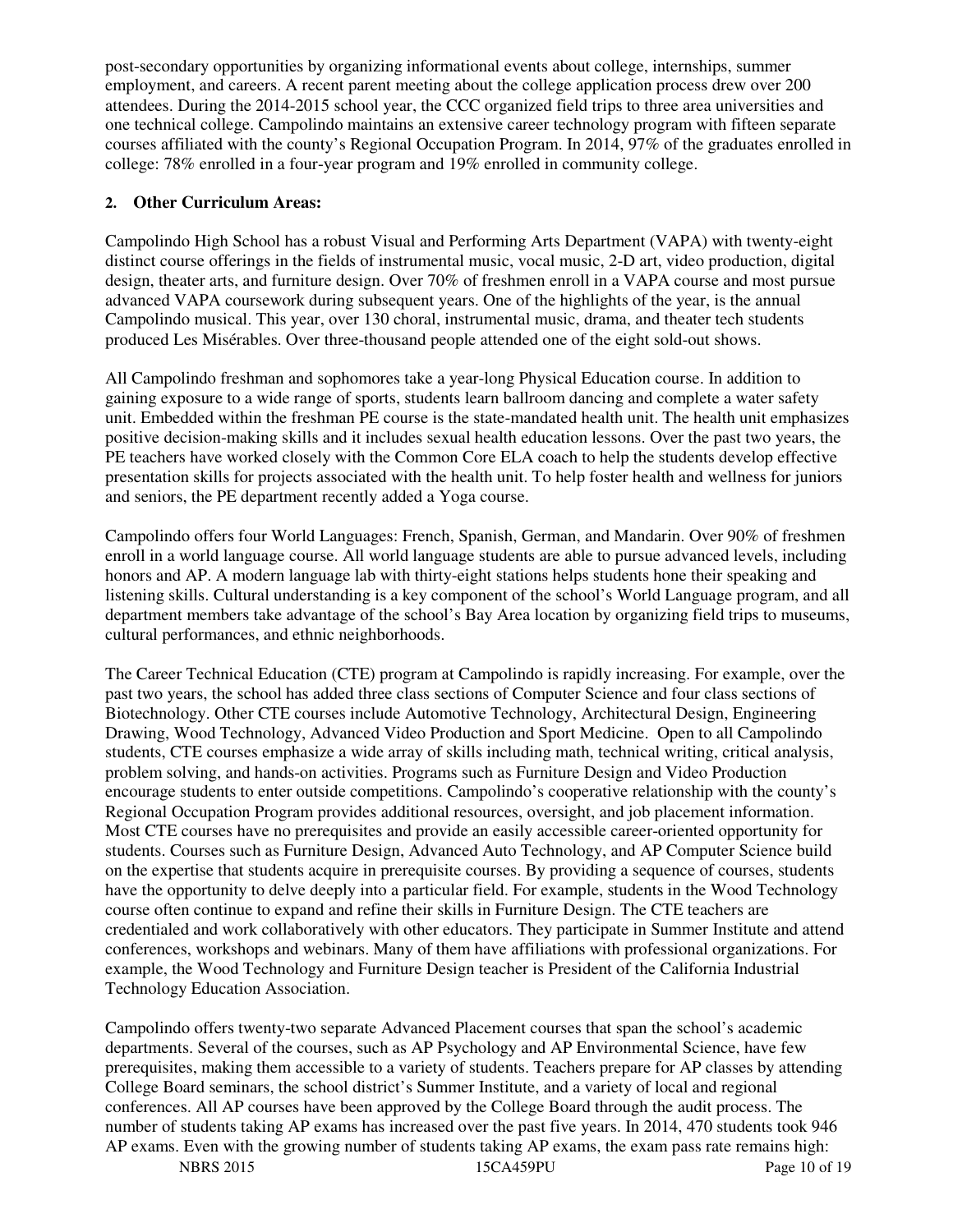post-secondary opportunities by organizing informational events about college, internships, summer employment, and careers. A recent parent meeting about the college application process drew over 200 attendees. During the 2014-2015 school year, the CCC organized field trips to three area universities and one technical college. Campolindo maintains an extensive career technology program with fifteen separate courses affiliated with the county's Regional Occupation Program. In 2014, 97% of the graduates enrolled in college: 78% enrolled in a four-year program and 19% enrolled in community college.

#### **2. Other Curriculum Areas:**

Campolindo High School has a robust Visual and Performing Arts Department (VAPA) with twenty-eight distinct course offerings in the fields of instrumental music, vocal music, 2-D art, video production, digital design, theater arts, and furniture design. Over 70% of freshmen enroll in a VAPA course and most pursue advanced VAPA coursework during subsequent years. One of the highlights of the year, is the annual Campolindo musical. This year, over 130 choral, instrumental music, drama, and theater tech students produced Les Misérables. Over three-thousand people attended one of the eight sold-out shows.

All Campolindo freshman and sophomores take a year-long Physical Education course. In addition to gaining exposure to a wide range of sports, students learn ballroom dancing and complete a water safety unit. Embedded within the freshman PE course is the state-mandated health unit. The health unit emphasizes positive decision-making skills and it includes sexual health education lessons. Over the past two years, the PE teachers have worked closely with the Common Core ELA coach to help the students develop effective presentation skills for projects associated with the health unit. To help foster health and wellness for juniors and seniors, the PE department recently added a Yoga course.

Campolindo offers four World Languages: French, Spanish, German, and Mandarin. Over 90% of freshmen enroll in a world language course. All world language students are able to pursue advanced levels, including honors and AP. A modern language lab with thirty-eight stations helps students hone their speaking and listening skills. Cultural understanding is a key component of the school's World Language program, and all department members take advantage of the school's Bay Area location by organizing field trips to museums, cultural performances, and ethnic neighborhoods.

The Career Technical Education (CTE) program at Campolindo is rapidly increasing. For example, over the past two years, the school has added three class sections of Computer Science and four class sections of Biotechnology. Other CTE courses include Automotive Technology, Architectural Design, Engineering Drawing, Wood Technology, Advanced Video Production and Sport Medicine. Open to all Campolindo students, CTE courses emphasize a wide array of skills including math, technical writing, critical analysis, problem solving, and hands-on activities. Programs such as Furniture Design and Video Production encourage students to enter outside competitions. Campolindo's cooperative relationship with the county's Regional Occupation Program provides additional resources, oversight, and job placement information. Most CTE courses have no prerequisites and provide an easily accessible career-oriented opportunity for students. Courses such as Furniture Design, Advanced Auto Technology, and AP Computer Science build on the expertise that students acquire in prerequisite courses. By providing a sequence of courses, students have the opportunity to delve deeply into a particular field. For example, students in the Wood Technology course often continue to expand and refine their skills in Furniture Design. The CTE teachers are credentialed and work collaboratively with other educators. They participate in Summer Institute and attend conferences, workshops and webinars. Many of them have affiliations with professional organizations. For example, the Wood Technology and Furniture Design teacher is President of the California Industrial Technology Education Association.

Campolindo offers twenty-two separate Advanced Placement courses that span the school's academic departments. Several of the courses, such as AP Psychology and AP Environmental Science, have few prerequisites, making them accessible to a variety of students. Teachers prepare for AP classes by attending College Board seminars, the school district's Summer Institute, and a variety of local and regional conferences. All AP courses have been approved by the College Board through the audit process. The number of students taking AP exams has increased over the past five years. In 2014, 470 students took 946 AP exams. Even with the growing number of students taking AP exams, the exam pass rate remains high: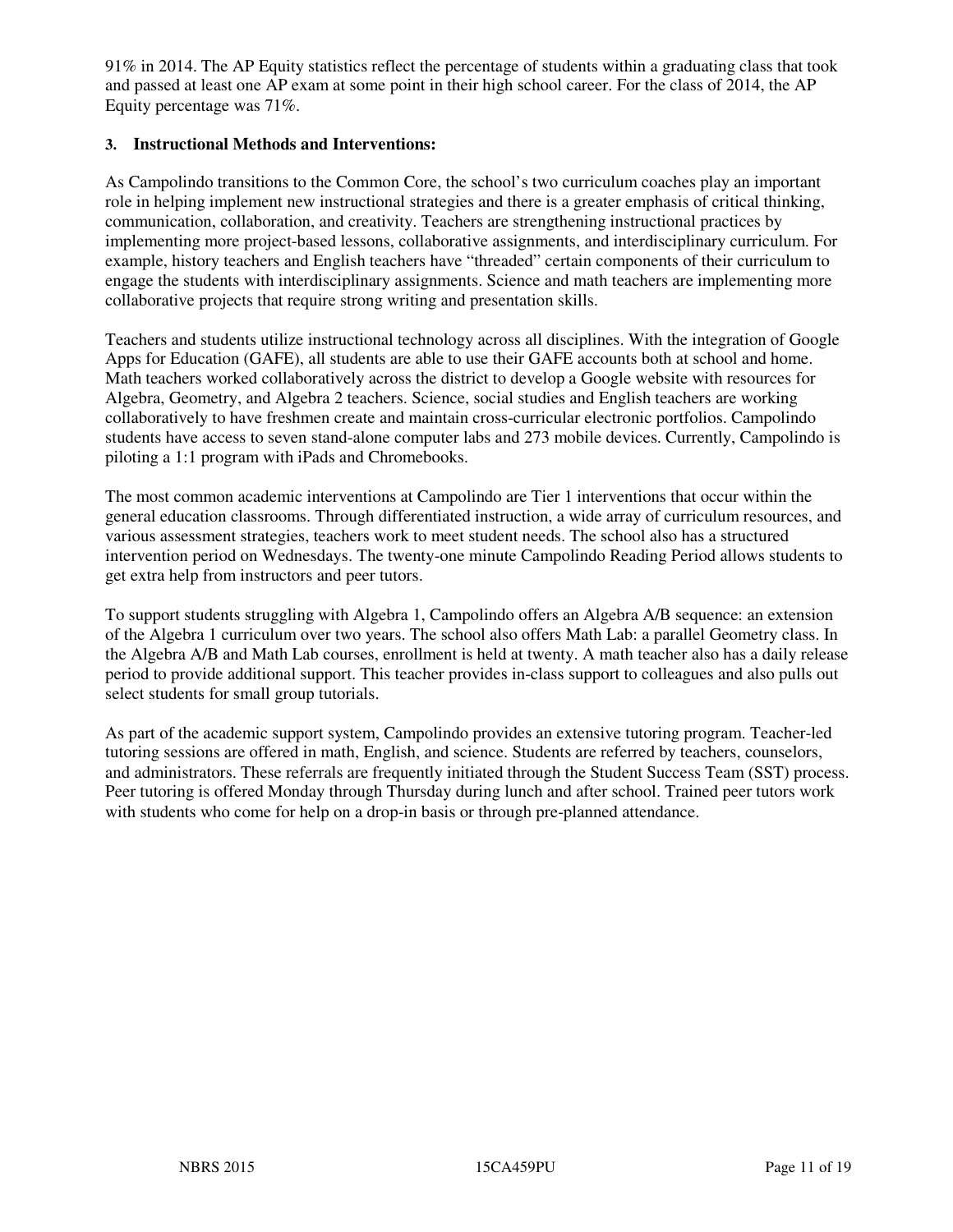91% in 2014. The AP Equity statistics reflect the percentage of students within a graduating class that took and passed at least one AP exam at some point in their high school career. For the class of 2014, the AP Equity percentage was 71%.

#### **3. Instructional Methods and Interventions:**

As Campolindo transitions to the Common Core, the school's two curriculum coaches play an important role in helping implement new instructional strategies and there is a greater emphasis of critical thinking, communication, collaboration, and creativity. Teachers are strengthening instructional practices by implementing more project-based lessons, collaborative assignments, and interdisciplinary curriculum. For example, history teachers and English teachers have "threaded" certain components of their curriculum to engage the students with interdisciplinary assignments. Science and math teachers are implementing more collaborative projects that require strong writing and presentation skills.

Teachers and students utilize instructional technology across all disciplines. With the integration of Google Apps for Education (GAFE), all students are able to use their GAFE accounts both at school and home. Math teachers worked collaboratively across the district to develop a Google website with resources for Algebra, Geometry, and Algebra 2 teachers. Science, social studies and English teachers are working collaboratively to have freshmen create and maintain cross-curricular electronic portfolios. Campolindo students have access to seven stand-alone computer labs and 273 mobile devices. Currently, Campolindo is piloting a 1:1 program with iPads and Chromebooks.

The most common academic interventions at Campolindo are Tier 1 interventions that occur within the general education classrooms. Through differentiated instruction, a wide array of curriculum resources, and various assessment strategies, teachers work to meet student needs. The school also has a structured intervention period on Wednesdays. The twenty-one minute Campolindo Reading Period allows students to get extra help from instructors and peer tutors.

To support students struggling with Algebra 1, Campolindo offers an Algebra A/B sequence: an extension of the Algebra 1 curriculum over two years. The school also offers Math Lab: a parallel Geometry class. In the Algebra A/B and Math Lab courses, enrollment is held at twenty. A math teacher also has a daily release period to provide additional support. This teacher provides in-class support to colleagues and also pulls out select students for small group tutorials.

As part of the academic support system, Campolindo provides an extensive tutoring program. Teacher-led tutoring sessions are offered in math, English, and science. Students are referred by teachers, counselors, and administrators. These referrals are frequently initiated through the Student Success Team (SST) process. Peer tutoring is offered Monday through Thursday during lunch and after school. Trained peer tutors work with students who come for help on a drop-in basis or through pre-planned attendance.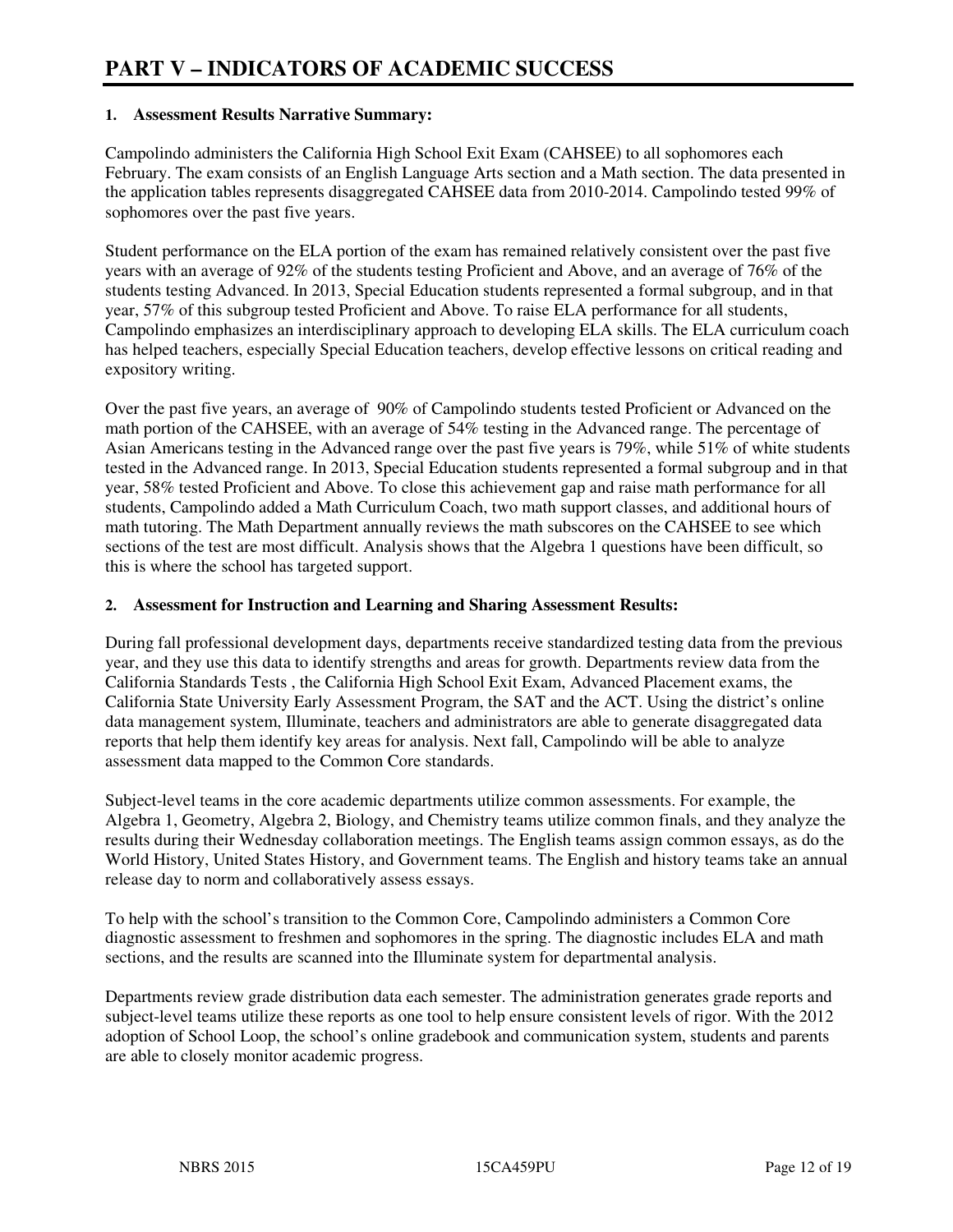#### **1. Assessment Results Narrative Summary:**

Campolindo administers the California High School Exit Exam (CAHSEE) to all sophomores each February. The exam consists of an English Language Arts section and a Math section. The data presented in the application tables represents disaggregated CAHSEE data from 2010-2014. Campolindo tested 99% of sophomores over the past five years.

Student performance on the ELA portion of the exam has remained relatively consistent over the past five years with an average of 92% of the students testing Proficient and Above, and an average of 76% of the students testing Advanced. In 2013, Special Education students represented a formal subgroup, and in that year, 57% of this subgroup tested Proficient and Above. To raise ELA performance for all students, Campolindo emphasizes an interdisciplinary approach to developing ELA skills. The ELA curriculum coach has helped teachers, especially Special Education teachers, develop effective lessons on critical reading and expository writing.

Over the past five years, an average of 90% of Campolindo students tested Proficient or Advanced on the math portion of the CAHSEE, with an average of 54% testing in the Advanced range. The percentage of Asian Americans testing in the Advanced range over the past five years is 79%, while 51% of white students tested in the Advanced range. In 2013, Special Education students represented a formal subgroup and in that year, 58% tested Proficient and Above. To close this achievement gap and raise math performance for all students, Campolindo added a Math Curriculum Coach, two math support classes, and additional hours of math tutoring. The Math Department annually reviews the math subscores on the CAHSEE to see which sections of the test are most difficult. Analysis shows that the Algebra 1 questions have been difficult, so this is where the school has targeted support.

#### **2. Assessment for Instruction and Learning and Sharing Assessment Results:**

During fall professional development days, departments receive standardized testing data from the previous year, and they use this data to identify strengths and areas for growth. Departments review data from the California Standards Tests , the California High School Exit Exam, Advanced Placement exams, the California State University Early Assessment Program, the SAT and the ACT. Using the district's online data management system, Illuminate, teachers and administrators are able to generate disaggregated data reports that help them identify key areas for analysis. Next fall, Campolindo will be able to analyze assessment data mapped to the Common Core standards.

Subject-level teams in the core academic departments utilize common assessments. For example, the Algebra 1, Geometry, Algebra 2, Biology, and Chemistry teams utilize common finals, and they analyze the results during their Wednesday collaboration meetings. The English teams assign common essays, as do the World History, United States History, and Government teams. The English and history teams take an annual release day to norm and collaboratively assess essays.

To help with the school's transition to the Common Core, Campolindo administers a Common Core diagnostic assessment to freshmen and sophomores in the spring. The diagnostic includes ELA and math sections, and the results are scanned into the Illuminate system for departmental analysis.

Departments review grade distribution data each semester. The administration generates grade reports and subject-level teams utilize these reports as one tool to help ensure consistent levels of rigor. With the 2012 adoption of School Loop, the school's online gradebook and communication system, students and parents are able to closely monitor academic progress.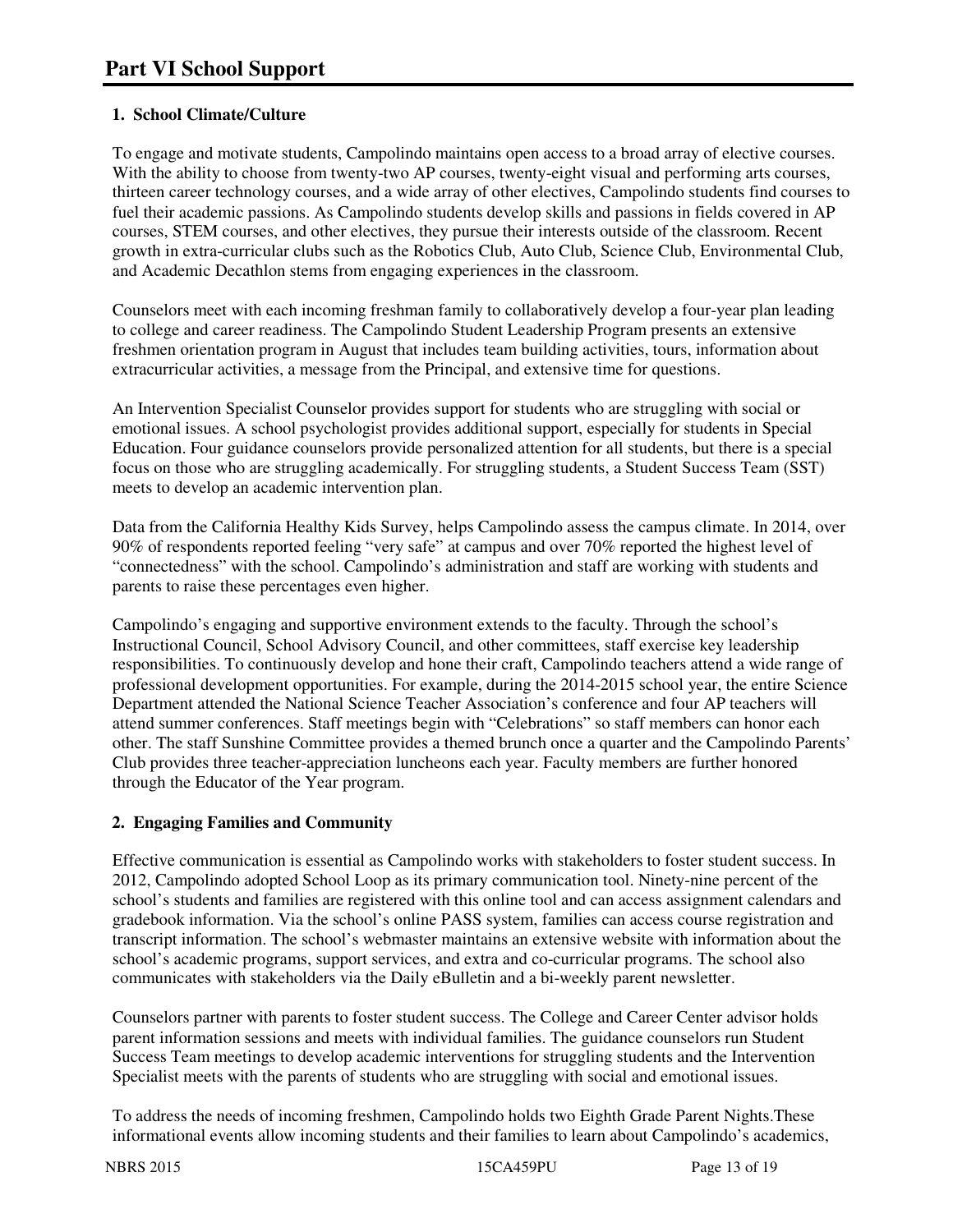# **1. School Climate/Culture**

To engage and motivate students, Campolindo maintains open access to a broad array of elective courses. With the ability to choose from twenty-two AP courses, twenty-eight visual and performing arts courses, thirteen career technology courses, and a wide array of other electives, Campolindo students find courses to fuel their academic passions. As Campolindo students develop skills and passions in fields covered in AP courses, STEM courses, and other electives, they pursue their interests outside of the classroom. Recent growth in extra-curricular clubs such as the Robotics Club, Auto Club, Science Club, Environmental Club, and Academic Decathlon stems from engaging experiences in the classroom.

Counselors meet with each incoming freshman family to collaboratively develop a four-year plan leading to college and career readiness. The Campolindo Student Leadership Program presents an extensive freshmen orientation program in August that includes team building activities, tours, information about extracurricular activities, a message from the Principal, and extensive time for questions.

An Intervention Specialist Counselor provides support for students who are struggling with social or emotional issues. A school psychologist provides additional support, especially for students in Special Education. Four guidance counselors provide personalized attention for all students, but there is a special focus on those who are struggling academically. For struggling students, a Student Success Team (SST) meets to develop an academic intervention plan.

Data from the California Healthy Kids Survey, helps Campolindo assess the campus climate. In 2014, over 90% of respondents reported feeling "very safe" at campus and over 70% reported the highest level of "connectedness" with the school. Campolindo's administration and staff are working with students and parents to raise these percentages even higher.

Campolindo's engaging and supportive environment extends to the faculty. Through the school's Instructional Council, School Advisory Council, and other committees, staff exercise key leadership responsibilities. To continuously develop and hone their craft, Campolindo teachers attend a wide range of professional development opportunities. For example, during the 2014-2015 school year, the entire Science Department attended the National Science Teacher Association's conference and four AP teachers will attend summer conferences. Staff meetings begin with "Celebrations" so staff members can honor each other. The staff Sunshine Committee provides a themed brunch once a quarter and the Campolindo Parents' Club provides three teacher-appreciation luncheons each year. Faculty members are further honored through the Educator of the Year program.

## **2. Engaging Families and Community**

Effective communication is essential as Campolindo works with stakeholders to foster student success. In 2012, Campolindo adopted School Loop as its primary communication tool. Ninety-nine percent of the school's students and families are registered with this online tool and can access assignment calendars and gradebook information. Via the school's online PASS system, families can access course registration and transcript information. The school's webmaster maintains an extensive website with information about the school's academic programs, support services, and extra and co-curricular programs. The school also communicates with stakeholders via the Daily eBulletin and a bi-weekly parent newsletter.

Counselors partner with parents to foster student success. The College and Career Center advisor holds parent information sessions and meets with individual families. The guidance counselors run Student Success Team meetings to develop academic interventions for struggling students and the Intervention Specialist meets with the parents of students who are struggling with social and emotional issues.

To address the needs of incoming freshmen, Campolindo holds two Eighth Grade Parent Nights.These informational events allow incoming students and their families to learn about Campolindo's academics,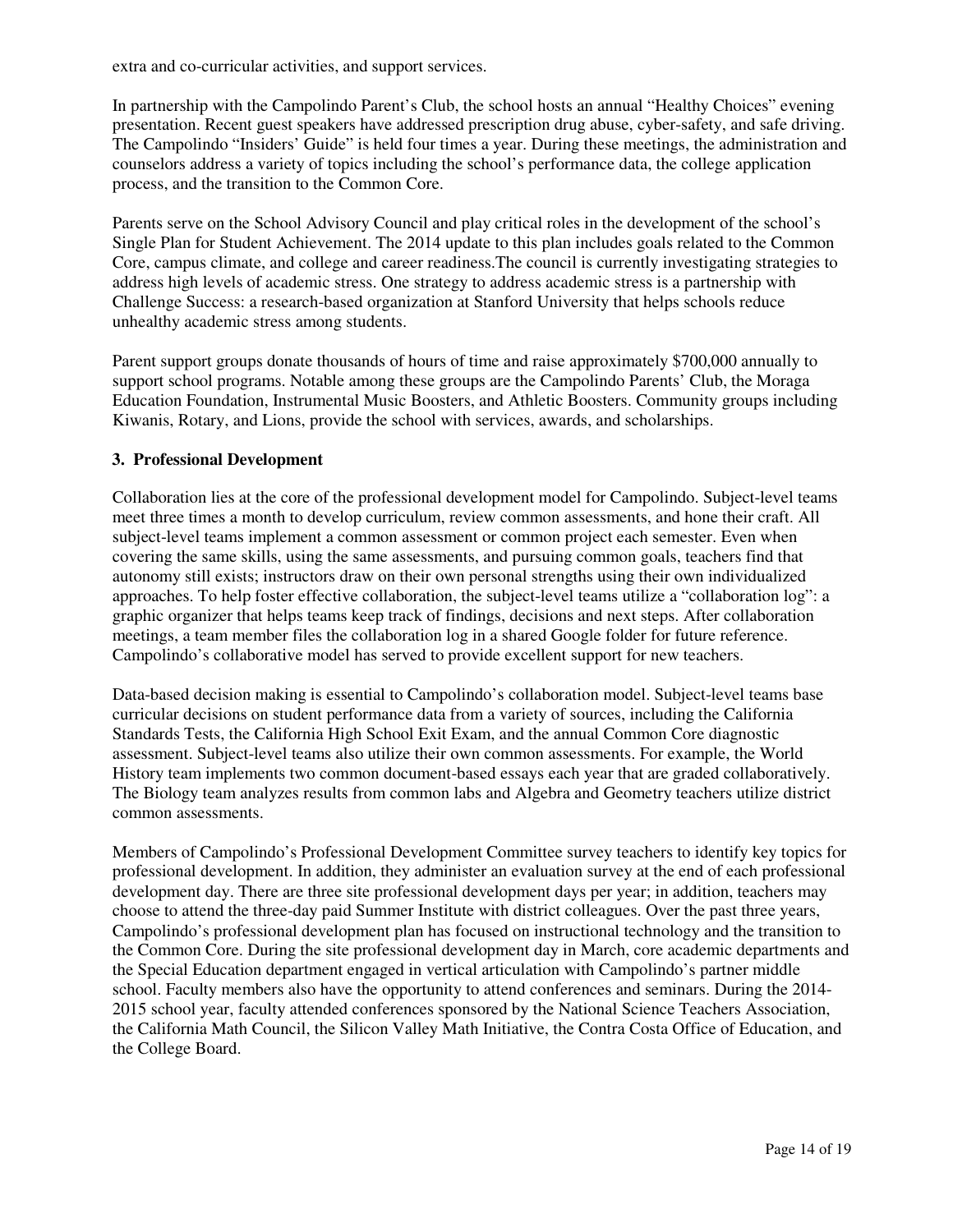extra and co-curricular activities, and support services.

In partnership with the Campolindo Parent's Club, the school hosts an annual "Healthy Choices" evening presentation. Recent guest speakers have addressed prescription drug abuse, cyber-safety, and safe driving. The Campolindo "Insiders' Guide" is held four times a year. During these meetings, the administration and counselors address a variety of topics including the school's performance data, the college application process, and the transition to the Common Core.

Parents serve on the School Advisory Council and play critical roles in the development of the school's Single Plan for Student Achievement. The 2014 update to this plan includes goals related to the Common Core, campus climate, and college and career readiness.The council is currently investigating strategies to address high levels of academic stress. One strategy to address academic stress is a partnership with Challenge Success: a research-based organization at Stanford University that helps schools reduce unhealthy academic stress among students.

Parent support groups donate thousands of hours of time and raise approximately \$700,000 annually to support school programs. Notable among these groups are the Campolindo Parents' Club, the Moraga Education Foundation, Instrumental Music Boosters, and Athletic Boosters. Community groups including Kiwanis, Rotary, and Lions, provide the school with services, awards, and scholarships.

#### **3. Professional Development**

Collaboration lies at the core of the professional development model for Campolindo. Subject-level teams meet three times a month to develop curriculum, review common assessments, and hone their craft. All subject-level teams implement a common assessment or common project each semester. Even when covering the same skills, using the same assessments, and pursuing common goals, teachers find that autonomy still exists; instructors draw on their own personal strengths using their own individualized approaches. To help foster effective collaboration, the subject-level teams utilize a "collaboration log": a graphic organizer that helps teams keep track of findings, decisions and next steps. After collaboration meetings, a team member files the collaboration log in a shared Google folder for future reference. Campolindo's collaborative model has served to provide excellent support for new teachers.

Data-based decision making is essential to Campolindo's collaboration model. Subject-level teams base curricular decisions on student performance data from a variety of sources, including the California Standards Tests, the California High School Exit Exam, and the annual Common Core diagnostic assessment. Subject-level teams also utilize their own common assessments. For example, the World History team implements two common document-based essays each year that are graded collaboratively. The Biology team analyzes results from common labs and Algebra and Geometry teachers utilize district common assessments.

Members of Campolindo's Professional Development Committee survey teachers to identify key topics for professional development. In addition, they administer an evaluation survey at the end of each professional development day. There are three site professional development days per year; in addition, teachers may choose to attend the three-day paid Summer Institute with district colleagues. Over the past three years, Campolindo's professional development plan has focused on instructional technology and the transition to the Common Core. During the site professional development day in March, core academic departments and the Special Education department engaged in vertical articulation with Campolindo's partner middle school. Faculty members also have the opportunity to attend conferences and seminars. During the 2014- 2015 school year, faculty attended conferences sponsored by the National Science Teachers Association, the California Math Council, the Silicon Valley Math Initiative, the Contra Costa Office of Education, and the College Board.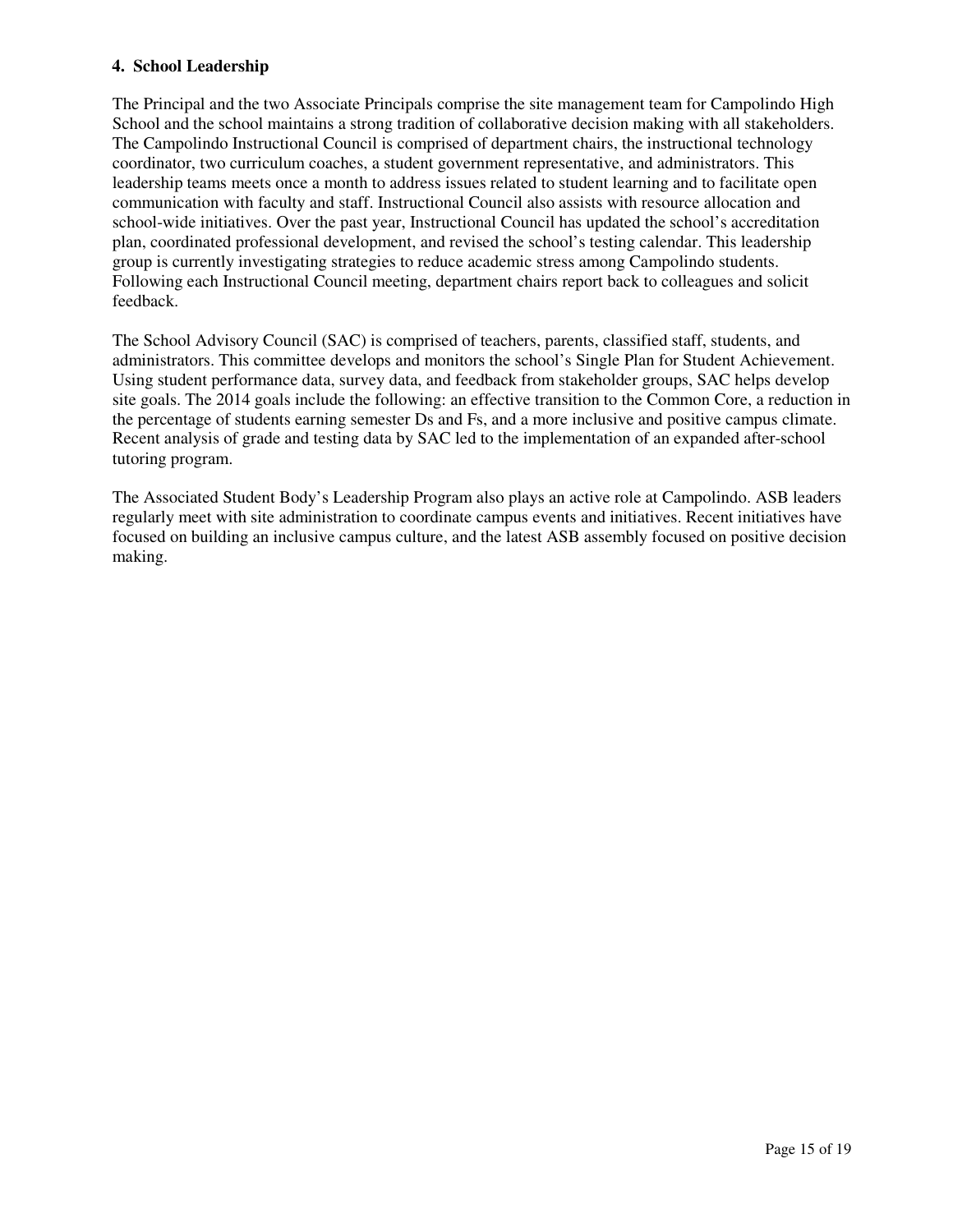#### **4. School Leadership**

The Principal and the two Associate Principals comprise the site management team for Campolindo High School and the school maintains a strong tradition of collaborative decision making with all stakeholders. The Campolindo Instructional Council is comprised of department chairs, the instructional technology coordinator, two curriculum coaches, a student government representative, and administrators. This leadership teams meets once a month to address issues related to student learning and to facilitate open communication with faculty and staff. Instructional Council also assists with resource allocation and school-wide initiatives. Over the past year, Instructional Council has updated the school's accreditation plan, coordinated professional development, and revised the school's testing calendar. This leadership group is currently investigating strategies to reduce academic stress among Campolindo students. Following each Instructional Council meeting, department chairs report back to colleagues and solicit feedback.

The School Advisory Council (SAC) is comprised of teachers, parents, classified staff, students, and administrators. This committee develops and monitors the school's Single Plan for Student Achievement. Using student performance data, survey data, and feedback from stakeholder groups, SAC helps develop site goals. The 2014 goals include the following: an effective transition to the Common Core, a reduction in the percentage of students earning semester Ds and Fs, and a more inclusive and positive campus climate. Recent analysis of grade and testing data by SAC led to the implementation of an expanded after-school tutoring program.

The Associated Student Body's Leadership Program also plays an active role at Campolindo. ASB leaders regularly meet with site administration to coordinate campus events and initiatives. Recent initiatives have focused on building an inclusive campus culture, and the latest ASB assembly focused on positive decision making.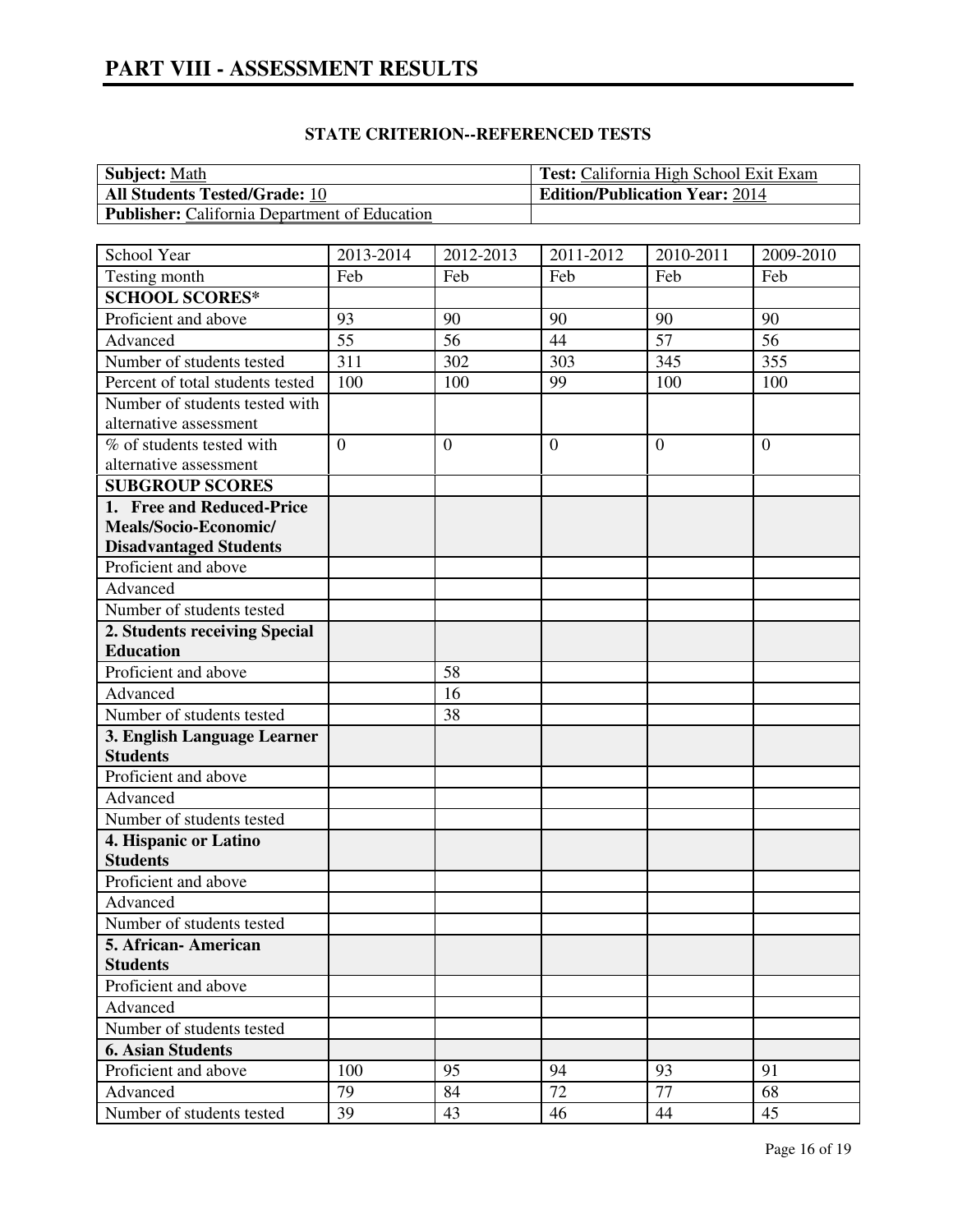| <b>Subject: Math</b>                                 | <sup>1</sup> Test: California High School Exit Exam |
|------------------------------------------------------|-----------------------------------------------------|
| <b>All Students Tested/Grade: 10</b>                 | <b>Edition/Publication Year: 2014</b>               |
| <b>Publisher:</b> California Department of Education |                                                     |

## **STATE CRITERION--REFERENCED TESTS**

| School Year<br>2011-2012<br>2013-2014<br>2012-2013<br>2010-2011<br>2009-2010<br>Feb<br>Testing month<br>Feb<br>Feb<br>Feb<br>Feb<br><b>SCHOOL SCORES*</b><br>Proficient and above<br>93<br>90<br>90<br>90<br>90<br>55<br>56<br>44<br>57<br>Advanced<br>56<br>303<br>355<br>311<br>302<br>345<br>Number of students tested<br>Percent of total students tested<br>100<br>100<br>99<br>100<br>100<br>Number of students tested with |
|-----------------------------------------------------------------------------------------------------------------------------------------------------------------------------------------------------------------------------------------------------------------------------------------------------------------------------------------------------------------------------------------------------------------------------------|
|                                                                                                                                                                                                                                                                                                                                                                                                                                   |
|                                                                                                                                                                                                                                                                                                                                                                                                                                   |
|                                                                                                                                                                                                                                                                                                                                                                                                                                   |
|                                                                                                                                                                                                                                                                                                                                                                                                                                   |
|                                                                                                                                                                                                                                                                                                                                                                                                                                   |
|                                                                                                                                                                                                                                                                                                                                                                                                                                   |
|                                                                                                                                                                                                                                                                                                                                                                                                                                   |
|                                                                                                                                                                                                                                                                                                                                                                                                                                   |
| alternative assessment                                                                                                                                                                                                                                                                                                                                                                                                            |
| $\overline{0}$<br>% of students tested with<br>$\mathbf{0}$<br>$\overline{0}$<br>$\theta$<br>$\overline{0}$                                                                                                                                                                                                                                                                                                                       |
| alternative assessment                                                                                                                                                                                                                                                                                                                                                                                                            |
| <b>SUBGROUP SCORES</b>                                                                                                                                                                                                                                                                                                                                                                                                            |
| 1. Free and Reduced-Price                                                                                                                                                                                                                                                                                                                                                                                                         |
| Meals/Socio-Economic/                                                                                                                                                                                                                                                                                                                                                                                                             |
| <b>Disadvantaged Students</b>                                                                                                                                                                                                                                                                                                                                                                                                     |
| Proficient and above                                                                                                                                                                                                                                                                                                                                                                                                              |
| Advanced                                                                                                                                                                                                                                                                                                                                                                                                                          |
| Number of students tested                                                                                                                                                                                                                                                                                                                                                                                                         |
| 2. Students receiving Special                                                                                                                                                                                                                                                                                                                                                                                                     |
| <b>Education</b>                                                                                                                                                                                                                                                                                                                                                                                                                  |
| Proficient and above<br>58                                                                                                                                                                                                                                                                                                                                                                                                        |
| Advanced<br>16                                                                                                                                                                                                                                                                                                                                                                                                                    |
| Number of students tested<br>38                                                                                                                                                                                                                                                                                                                                                                                                   |
| 3. English Language Learner                                                                                                                                                                                                                                                                                                                                                                                                       |
| <b>Students</b>                                                                                                                                                                                                                                                                                                                                                                                                                   |
| Proficient and above                                                                                                                                                                                                                                                                                                                                                                                                              |
| Advanced                                                                                                                                                                                                                                                                                                                                                                                                                          |
| Number of students tested                                                                                                                                                                                                                                                                                                                                                                                                         |
| 4. Hispanic or Latino                                                                                                                                                                                                                                                                                                                                                                                                             |
| <b>Students</b>                                                                                                                                                                                                                                                                                                                                                                                                                   |
| Proficient and above                                                                                                                                                                                                                                                                                                                                                                                                              |
| Advanced                                                                                                                                                                                                                                                                                                                                                                                                                          |
| Number of students tested                                                                                                                                                                                                                                                                                                                                                                                                         |
| 5. African-American                                                                                                                                                                                                                                                                                                                                                                                                               |
| <b>Students</b>                                                                                                                                                                                                                                                                                                                                                                                                                   |
| Proficient and above                                                                                                                                                                                                                                                                                                                                                                                                              |
| Advanced                                                                                                                                                                                                                                                                                                                                                                                                                          |
| Number of students tested                                                                                                                                                                                                                                                                                                                                                                                                         |
| <b>6. Asian Students</b>                                                                                                                                                                                                                                                                                                                                                                                                          |
| 94<br>93<br>Proficient and above<br>100<br>95<br>91                                                                                                                                                                                                                                                                                                                                                                               |
| 72<br>77<br>68<br>Advanced<br>79<br>84                                                                                                                                                                                                                                                                                                                                                                                            |
| Number of students tested<br>39<br>43<br>44<br>45<br>46                                                                                                                                                                                                                                                                                                                                                                           |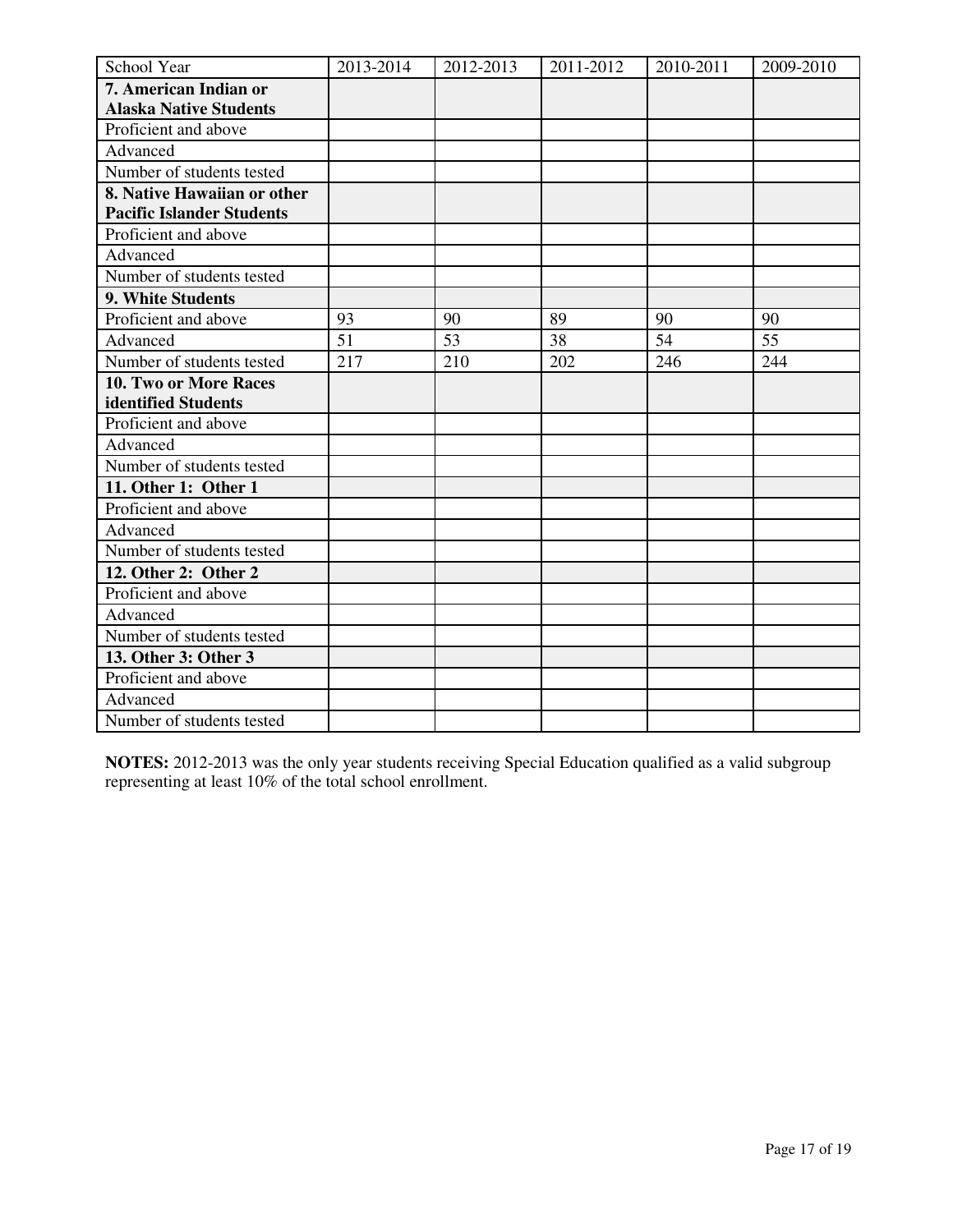| School Year                      | 2013-2014 | 2012-2013 | 2011-2012 | 2010-2011 | 2009-2010 |
|----------------------------------|-----------|-----------|-----------|-----------|-----------|
| 7. American Indian or            |           |           |           |           |           |
| <b>Alaska Native Students</b>    |           |           |           |           |           |
| Proficient and above             |           |           |           |           |           |
| Advanced                         |           |           |           |           |           |
| Number of students tested        |           |           |           |           |           |
| 8. Native Hawaiian or other      |           |           |           |           |           |
| <b>Pacific Islander Students</b> |           |           |           |           |           |
| Proficient and above             |           |           |           |           |           |
| Advanced                         |           |           |           |           |           |
| Number of students tested        |           |           |           |           |           |
| 9. White Students                |           |           |           |           |           |
| Proficient and above             | 93        | 90        | 89        | 90        | 90        |
| Advanced                         | 51        | 53        | 38        | 54        | 55        |
| Number of students tested        | 217       | 210       | 202       | 246       | 244       |
| 10. Two or More Races            |           |           |           |           |           |
| identified Students              |           |           |           |           |           |
| Proficient and above             |           |           |           |           |           |
| Advanced                         |           |           |           |           |           |
| Number of students tested        |           |           |           |           |           |
| 11. Other 1: Other 1             |           |           |           |           |           |
| Proficient and above             |           |           |           |           |           |
| Advanced                         |           |           |           |           |           |
| Number of students tested        |           |           |           |           |           |
| 12. Other 2: Other 2             |           |           |           |           |           |
| Proficient and above             |           |           |           |           |           |
| Advanced                         |           |           |           |           |           |
| Number of students tested        |           |           |           |           |           |
| 13. Other 3: Other 3             |           |           |           |           |           |
| Proficient and above             |           |           |           |           |           |
| Advanced                         |           |           |           |           |           |
| Number of students tested        |           |           |           |           |           |

**NOTES:** 2012-2013 was the only year students receiving Special Education qualified as a valid subgroup representing at least 10% of the total school enrollment.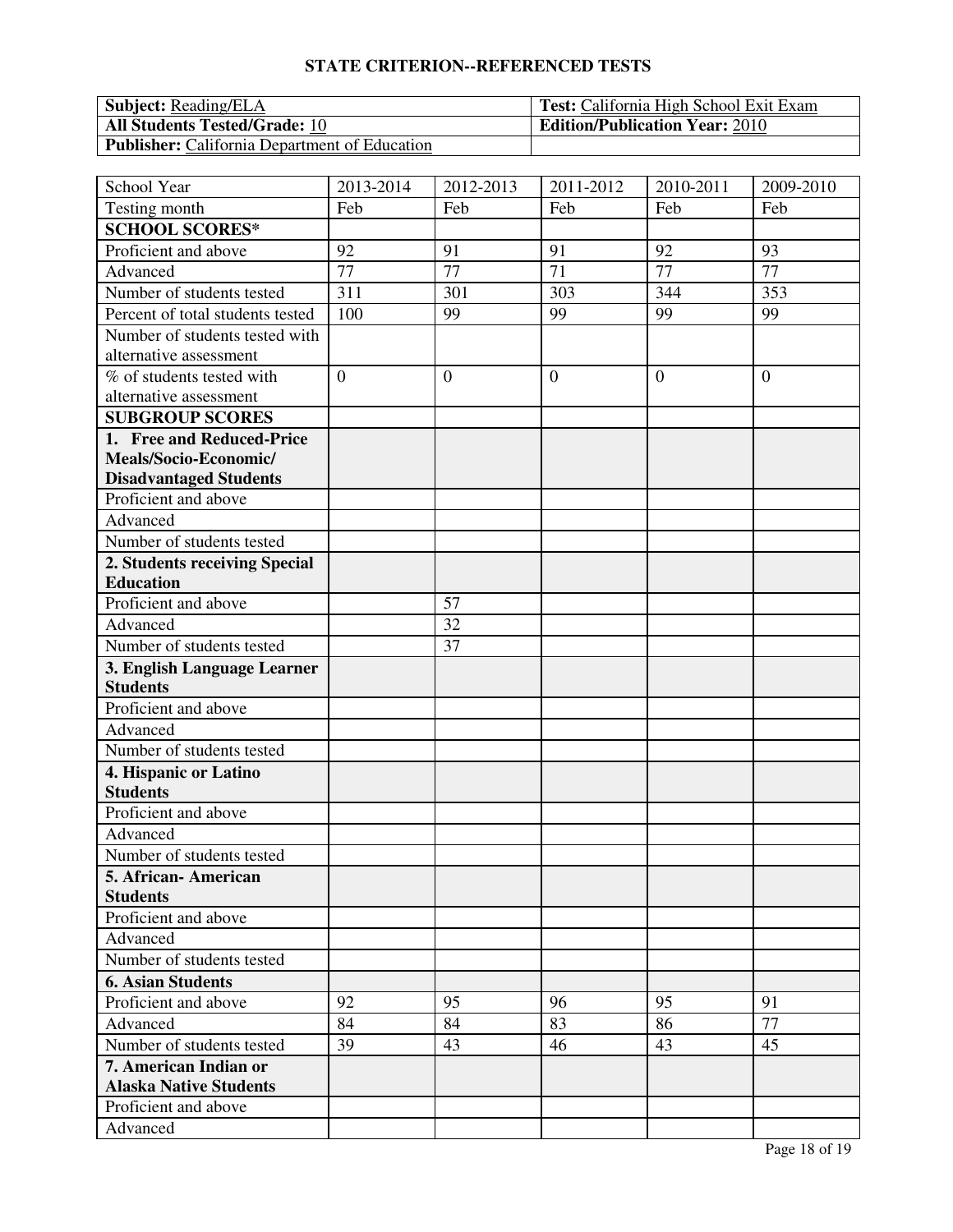# **STATE CRITERION--REFERENCED TESTS**

| <b>Subject:</b> Reading/ELA                          | <b>Test:</b> California High School Exit Exam |
|------------------------------------------------------|-----------------------------------------------|
| <b>All Students Tested/Grade: 10</b>                 | <b>Edition/Publication Year: 2010</b>         |
| <b>Publisher:</b> California Department of Education |                                               |

| School Year                                        | 2013-2014      | 2012-2013      | 2011-2012      | 2010-2011      | 2009-2010      |
|----------------------------------------------------|----------------|----------------|----------------|----------------|----------------|
| Testing month                                      | Feb            | Feb            | Feb            | Feb            | Feb            |
| <b>SCHOOL SCORES*</b>                              |                |                |                |                |                |
| Proficient and above                               | 92             | 91             | 91             | 92             | 93             |
| Advanced                                           | 77             | 77             | 71             | 77             | 77             |
| Number of students tested                          | 311            | 301            | 303            | 344            | 353            |
| Percent of total students tested                   | 100            | 99             | 99             | 99             | 99             |
| Number of students tested with                     |                |                |                |                |                |
| alternative assessment                             |                |                |                |                |                |
| % of students tested with                          | $\overline{0}$ | $\overline{0}$ | $\overline{0}$ | $\overline{0}$ | $\overline{0}$ |
| alternative assessment                             |                |                |                |                |                |
| <b>SUBGROUP SCORES</b>                             |                |                |                |                |                |
| 1. Free and Reduced-Price                          |                |                |                |                |                |
| Meals/Socio-Economic/                              |                |                |                |                |                |
| <b>Disadvantaged Students</b>                      |                |                |                |                |                |
| Proficient and above                               |                |                |                |                |                |
| Advanced                                           |                |                |                |                |                |
| Number of students tested                          |                |                |                |                |                |
| 2. Students receiving Special                      |                |                |                |                |                |
| <b>Education</b>                                   |                |                |                |                |                |
| Proficient and above                               |                | 57             |                |                |                |
| Advanced                                           |                | 32             |                |                |                |
| Number of students tested                          |                | 37             |                |                |                |
| 3. English Language Learner                        |                |                |                |                |                |
| <b>Students</b>                                    |                |                |                |                |                |
| Proficient and above                               |                |                |                |                |                |
| Advanced                                           |                |                |                |                |                |
| Number of students tested                          |                |                |                |                |                |
| 4. Hispanic or Latino                              |                |                |                |                |                |
| <b>Students</b>                                    |                |                |                |                |                |
| Proficient and above                               |                |                |                |                |                |
| Advanced                                           |                |                |                |                |                |
| Number of students tested                          |                |                |                |                |                |
| 5. African- American                               |                |                |                |                |                |
| <b>Students</b><br>Proficient and above            |                |                |                |                |                |
| Advanced                                           |                |                |                |                |                |
| Number of students tested                          |                |                |                |                |                |
|                                                    |                |                |                |                |                |
| <b>6. Asian Students</b><br>Proficient and above   | 92             | 95             | 96             | 95             | 91             |
|                                                    | 84             | 84             | 83             | 86             | 77             |
| Advanced                                           |                |                | 46             | 43             | 45             |
| Number of students tested<br>7. American Indian or | 39             | 43             |                |                |                |
| <b>Alaska Native Students</b>                      |                |                |                |                |                |
| Proficient and above                               |                |                |                |                |                |
| Advanced                                           |                |                |                |                |                |
|                                                    |                |                |                |                |                |